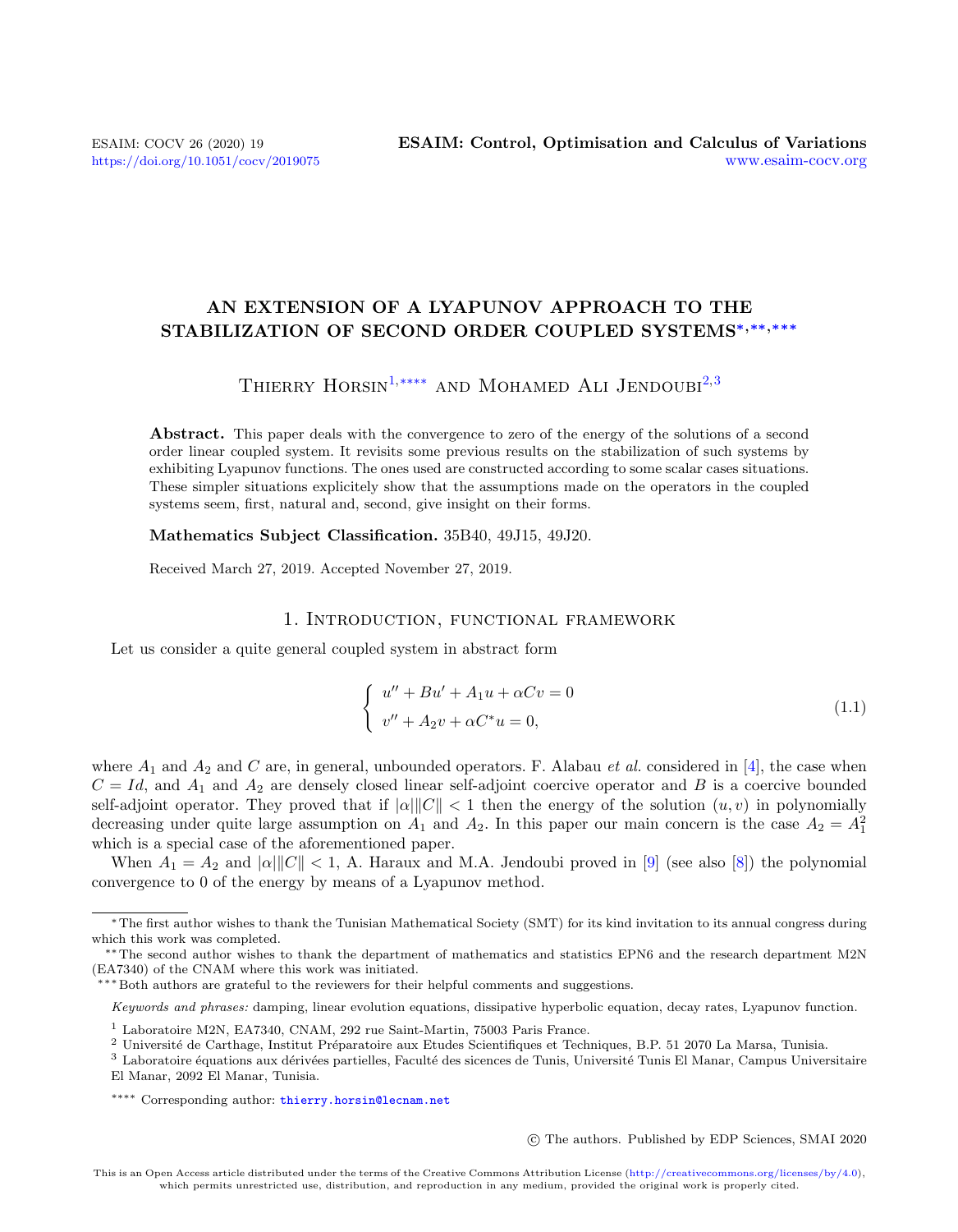# AN EXTENSION OF A LYAPUNOV APPROACH TO THE STABILIZATION OF SECOND ORDER COUPLED SYSTEMS<sup>\*,\*\*,\*\*\*</sup>

# THIERRY HORSIN<sup>[1,](#page-0-0)</sup>\*\*\*\* AND MOHAMED ALI JENDOUBI<sup>[2,](#page-0-2)[3](#page-0-3)</sup>

Abstract. This paper deals with the convergence to zero of the energy of the solutions of a second order linear coupled system. It revisits some previous results on the stabilization of such systems by exhibiting Lyapunov functions. The ones used are constructed according to some scalar cases situations. These simpler situations explicitely show that the assumptions made on the operators in the coupled systems seem, first, natural and, second, give insight on their forms.

Mathematics Subject Classification. 35B40, 49J15, 49J20.

Received March 27, 2019. Accepted November 27, 2019.

# 1. Introduction, functional framework

Let us consider a quite general coupled system in abstract form

$$
\begin{cases}\nu'' + Bu' + A_1 u + \alpha C v = 0 \\
v'' + A_2 v + \alpha C^* u = 0,\n\end{cases}
$$
\n(1.1)

where  $A_1$  and  $A_2$  and C are, in general, unbounded operators. F. Alabau *et al.* considered in [\[4\]](#page-15-0), the case when  $C = Id$ , and  $A_1$  and  $A_2$  are densely closed linear self-adjoint coercive operator and B is a coercive bounded self-adjoint operator. They proved that if  $|\alpha|||C|| < 1$  then the energy of the solution  $(u, v)$  in polynomially decreasing under quite large assumption on  $A_1$  and  $A_2$ . In this paper our main concern is the case  $A_2 = A_1^2$ which is a special case of the aforementioned paper.

When  $A_1 = A_2$  and  $|\alpha| ||C|| < 1$ , A. Haraux and M.A. Jendoubi proved in [\[9\]](#page-15-1) (see also [\[8\]](#page-15-2)) the polynomial convergence to 0 of the energy by means of a Lyapunov method.

<span id="page-0-1"></span>Keywords and phrases: damping, linear evolution equations, dissipative hyperbolic equation, decay rates, Lyapunov function.

c The authors. Published by EDP Sciences, SMAI 2020

<sup>∗</sup>The first author wishes to thank the Tunisian Mathematical Society (SMT) for its kind invitation to its annual congress during which this work was completed.

<sup>∗∗</sup>The second author wishes to thank the department of mathematics and statistics EPN6 and the research department M2N (EA7340) of the CNAM where this work was initiated.

<sup>∗∗∗</sup>Both authors are grateful to the reviewers for their helpful comments and suggestions.

<span id="page-0-0"></span><sup>1</sup> Laboratoire M2N, EA7340, CNAM, 292 rue Saint-Martin, 75003 Paris France.

<span id="page-0-2"></span> $^2$ Université de Carthage, Institut Préparatoire aux Etudes Scientifiques et Techniques, B.P. 51 2070 La Marsa, Tunisia.

<span id="page-0-3"></span> $3$  Laboratoire équations aux dérivées partielles, Faculté des sicences de Tunis, Université Tunis El Manar, Campus Universitaire El Manar, 2092 El Manar, Tunisia.

<sup>\*</sup>∗∗∗ Corresponding author: [thierry.horsin@lecnam.net](mailto:thierry.horsin@lecnam.net)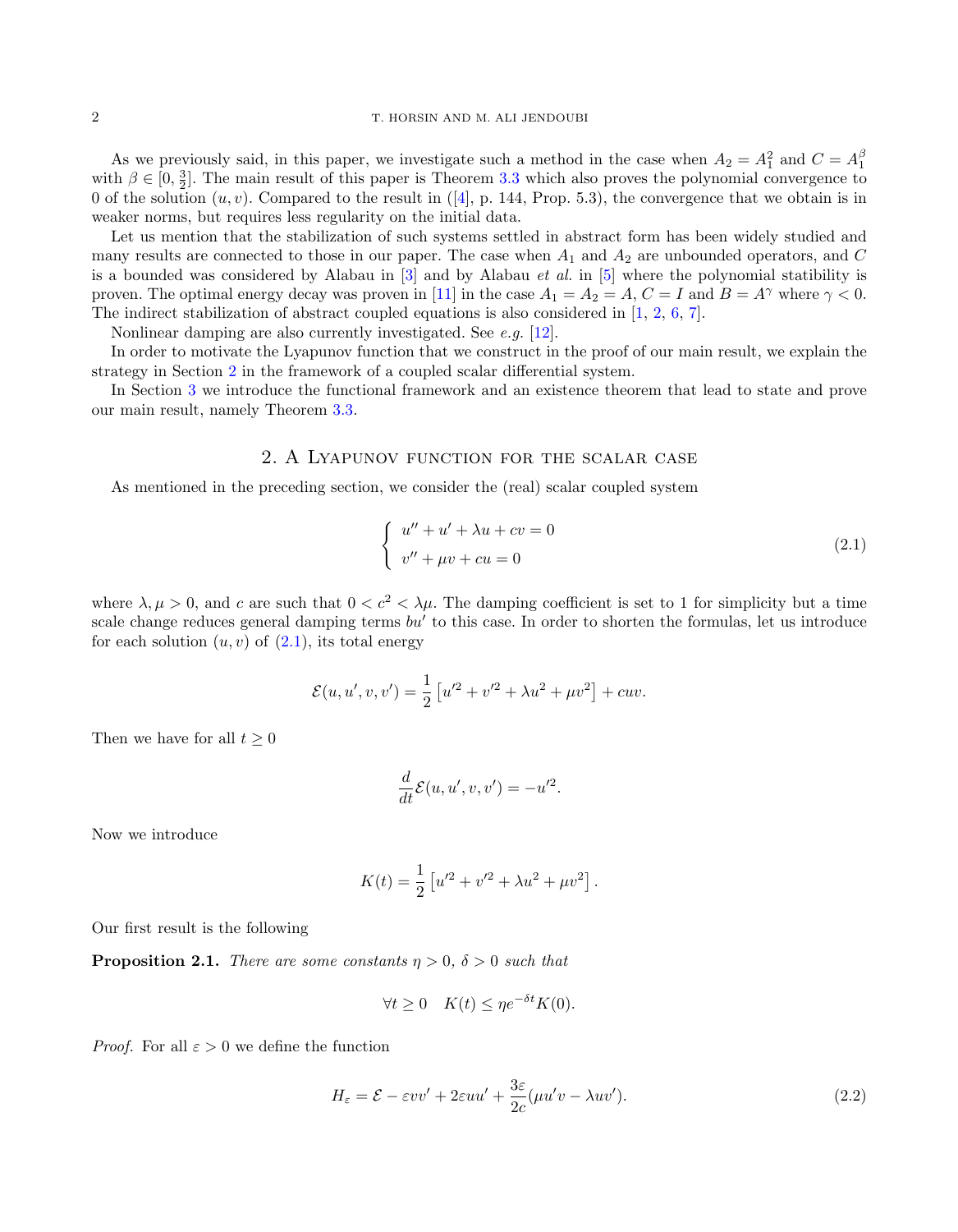As we previously said, in this paper, we investigate such a method in the case when  $A_2 = A_1^2$  and  $C = A_1^{\beta}$ with  $\beta \in [0, \frac{3}{2}]$ . The main result of this paper is Theorem [3.3](#page-7-0) which also proves the polynomial convergence to 0 of the solution  $(u, v)$ . Compared to the result in ([\[4\]](#page-15-0), p. 144, Prop. 5.3), the convergence that we obtain is in weaker norms, but requires less regularity on the initial data.

Let us mention that the stabilization of such systems settled in abstract form has been widely studied and many results are connected to those in our paper. The case when  $A_1$  and  $A_2$  are unbounded operators, and C is a bounded was considered by Alabau in  $\lceil 3 \rceil$  and by Alabau *et al.* in  $\lceil 5 \rceil$  where the polynomial statibility is proven. The optimal energy decay was proven in [\[11\]](#page-15-5) in the case  $A_1 = A_2 = A$ ,  $C = I$  and  $B = A^{\gamma}$  where  $\gamma < 0$ . The indirect stabilization of abstract coupled equations is also considered in [\[1,](#page-15-6) [2,](#page-15-7) [6,](#page-15-8) [7\]](#page-15-9).

Nonlinear damping are also currently investigated. See e.g. [\[12\]](#page-15-10).

In order to motivate the Lyapunov function that we construct in the proof of our main result, we explain the strategy in Section [2](#page-1-0) in the framework of a coupled scalar differential system.

In Section [3](#page-4-0) we introduce the functional framework and an existence theorem that lead to state and prove our main result, namely Theorem [3.3.](#page-7-0)

# 2. A Lyapunov function for the scalar case

<span id="page-1-0"></span>As mentioned in the preceding section, we consider the (real) scalar coupled system

<span id="page-1-1"></span>
$$
\begin{cases}\nu'' + u' + \lambda u + cv = 0\\v'' + \mu v + cu = 0\end{cases}
$$
\n(2.1)

where  $\lambda, \mu > 0$ , and c are such that  $0 < c^2 < \lambda \mu$ . The damping coefficient is set to 1 for simplicity but a time scale change reduces general damping terms  $bu'$  to this case. In order to shorten the formulas, let us introduce for each solution  $(u, v)$  of  $(2.1)$ , its total energy

$$
\mathcal{E}(u, u', v, v') = \frac{1}{2} \left[ u'^2 + v'^2 + \lambda u^2 + \mu v^2 \right] + cuv.
$$

Then we have for all  $t \geq 0$ 

$$
\frac{d}{dt}\mathcal{E}(u, u', v, v') = -u'^2.
$$

Now we introduce

$$
K(t) = \frac{1}{2} \left[ u'^2 + v'^2 + \lambda u^2 + \mu v^2 \right].
$$

Our first result is the following

**Proposition 2.1.** There are some constants  $\eta > 0$ ,  $\delta > 0$  such that

$$
\forall t \ge 0 \quad K(t) \le \eta e^{-\delta t} K(0).
$$

*Proof.* For all  $\varepsilon > 0$  we define the function

$$
H_{\varepsilon} = \mathcal{E} - \varepsilon vv' + 2\varepsilon uu' + \frac{3\varepsilon}{2c}(\mu u'v - \lambda uv').
$$
\n(2.2)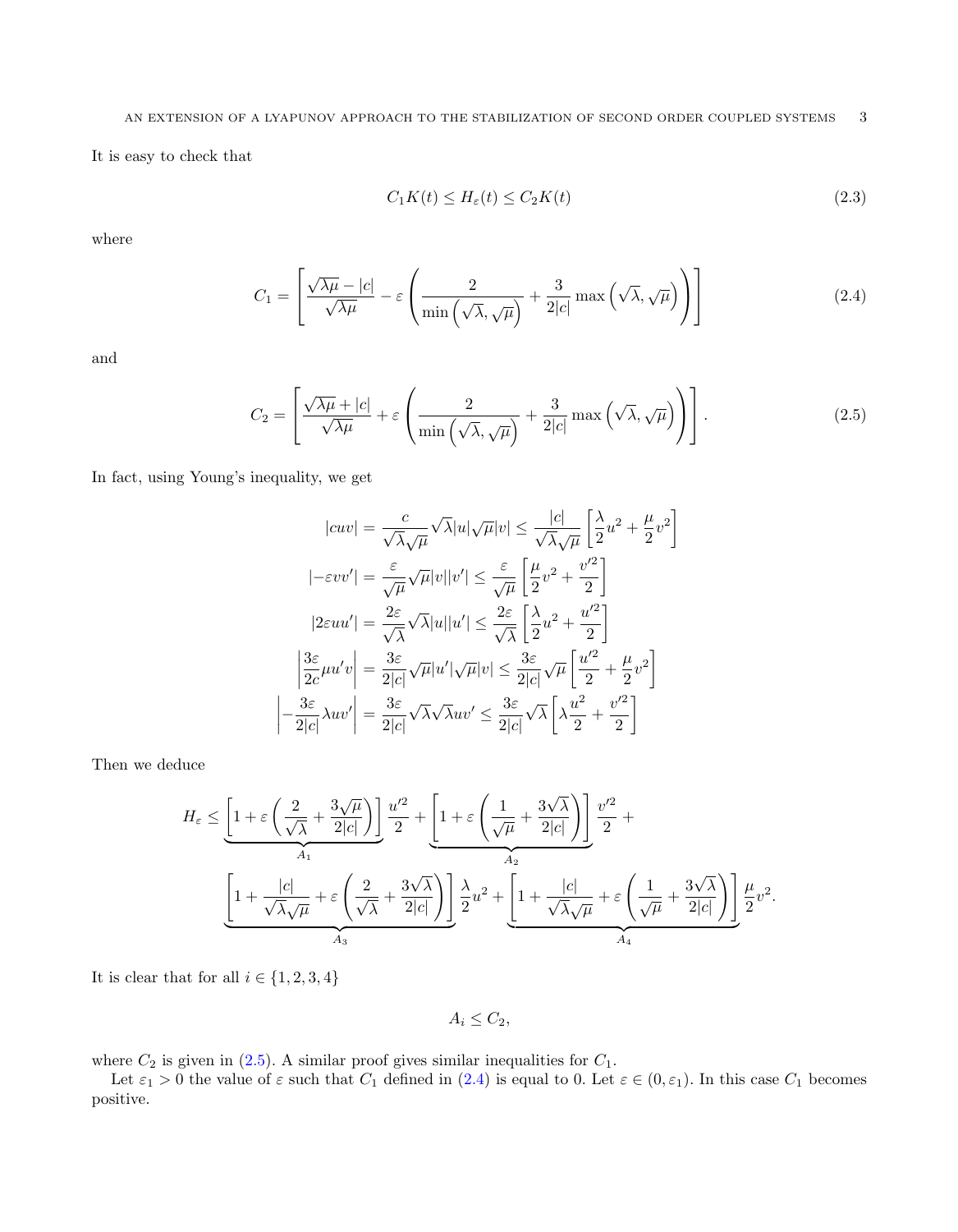It is easy to check that

<span id="page-2-2"></span>
$$
C_1K(t) \le H_{\varepsilon}(t) \le C_2K(t) \tag{2.3}
$$

where

<span id="page-2-1"></span>
$$
C_1 = \left[ \frac{\sqrt{\lambda \mu} - |c|}{\sqrt{\lambda \mu}} - \varepsilon \left( \frac{2}{\min\left( \sqrt{\lambda}, \sqrt{\mu} \right)} + \frac{3}{2|c|} \max\left( \sqrt{\lambda}, \sqrt{\mu} \right) \right) \right]
$$
(2.4)

and

<span id="page-2-0"></span>
$$
C_2 = \left[ \frac{\sqrt{\lambda \mu} + |c|}{\sqrt{\lambda \mu}} + \varepsilon \left( \frac{2}{\min\left(\sqrt{\lambda}, \sqrt{\mu}\right)} + \frac{3}{2|c|} \max\left(\sqrt{\lambda}, \sqrt{\mu}\right) \right) \right].
$$
 (2.5)

In fact, using Young's inequality, we get

 $\overline{\phantom{a}}$  $\overline{\phantom{a}}$  $\overline{\phantom{a}}$ 

$$
|cuv| = \frac{c}{\sqrt{\lambda}\sqrt{\mu}}\sqrt{\lambda}|u|\sqrt{\mu}|v| \le \frac{|c|}{\sqrt{\lambda}\sqrt{\mu}}\left[\frac{\lambda}{2}u^2 + \frac{\mu}{2}v^2\right]
$$

$$
|- \varepsilon vv'| = \frac{\varepsilon}{\sqrt{\mu}}\sqrt{\mu}|v||v'| \le \frac{\varepsilon}{\sqrt{\mu}}\left[\frac{\mu}{2}v^2 + \frac{v'^2}{2}\right]
$$

$$
|2\varepsilon uu'| = \frac{2\varepsilon}{\sqrt{\lambda}}\sqrt{\lambda}|u||u'| \le \frac{2\varepsilon}{\sqrt{\lambda}}\left[\frac{\lambda}{2}u^2 + \frac{u'^2}{2}\right]
$$

$$
\left|\frac{3\varepsilon}{2c}\mu u'v\right| = \frac{3\varepsilon}{2|c|}\sqrt{\mu}|u'|\sqrt{\mu}|v| \le \frac{3\varepsilon}{2|c|}\sqrt{\mu}\left[\frac{u'^2}{2} + \frac{\mu}{2}v^2\right]
$$

$$
\left|-\frac{3\varepsilon}{2|c|}\lambda uv'\right| = \frac{3\varepsilon}{2|c|}\sqrt{\lambda}\sqrt{\lambda}uv' \le \frac{3\varepsilon}{2|c|}\sqrt{\lambda}\left[\lambda\frac{u^2}{2} + \frac{v'^2}{2}\right]
$$

Then we deduce

$$
H_{\varepsilon}\leq\underbrace{\left[1+\varepsilon\left(\frac{2}{\sqrt{\lambda}}+\frac{3\sqrt{\mu}}{2|c|}\right)\right]}_{A_1}\frac{u'^2}{2}+\underbrace{\left[1+\varepsilon\left(\frac{1}{\sqrt{\mu}}+\frac{3\sqrt{\lambda}}{2|c|}\right)\right]}_{A_2}\frac{v'^2}{2}+\underbrace{\left[1+\frac{|c|}{\sqrt{\lambda}\sqrt{\mu}}+\varepsilon\left(\frac{2}{\sqrt{\lambda}}+\frac{3\sqrt{\lambda}}{2|c|}\right)\right]}_{A_3}\frac{\lambda}{2}u^2+\underbrace{\left[1+\frac{|c|}{\sqrt{\lambda}\sqrt{\mu}}+\varepsilon\left(\frac{1}{\sqrt{\mu}}+\frac{3\sqrt{\lambda}}{2|c|}\right)\right]}_{A_4}\frac{\mu}{2}v^2.
$$

It is clear that for all  $i \in \{1, 2, 3, 4\}$ 

 $A_i \leq C_2$ 

where  $C_2$  is given in [\(2.5\)](#page-2-0). A similar proof gives similar inequalities for  $C_1$ .

Let  $\varepsilon_1 > 0$  the value of  $\varepsilon$  such that  $C_1$  defined in  $(2.4)$  is equal to 0. Let  $\varepsilon \in (0, \varepsilon_1)$ . In this case  $C_1$  becomes positive.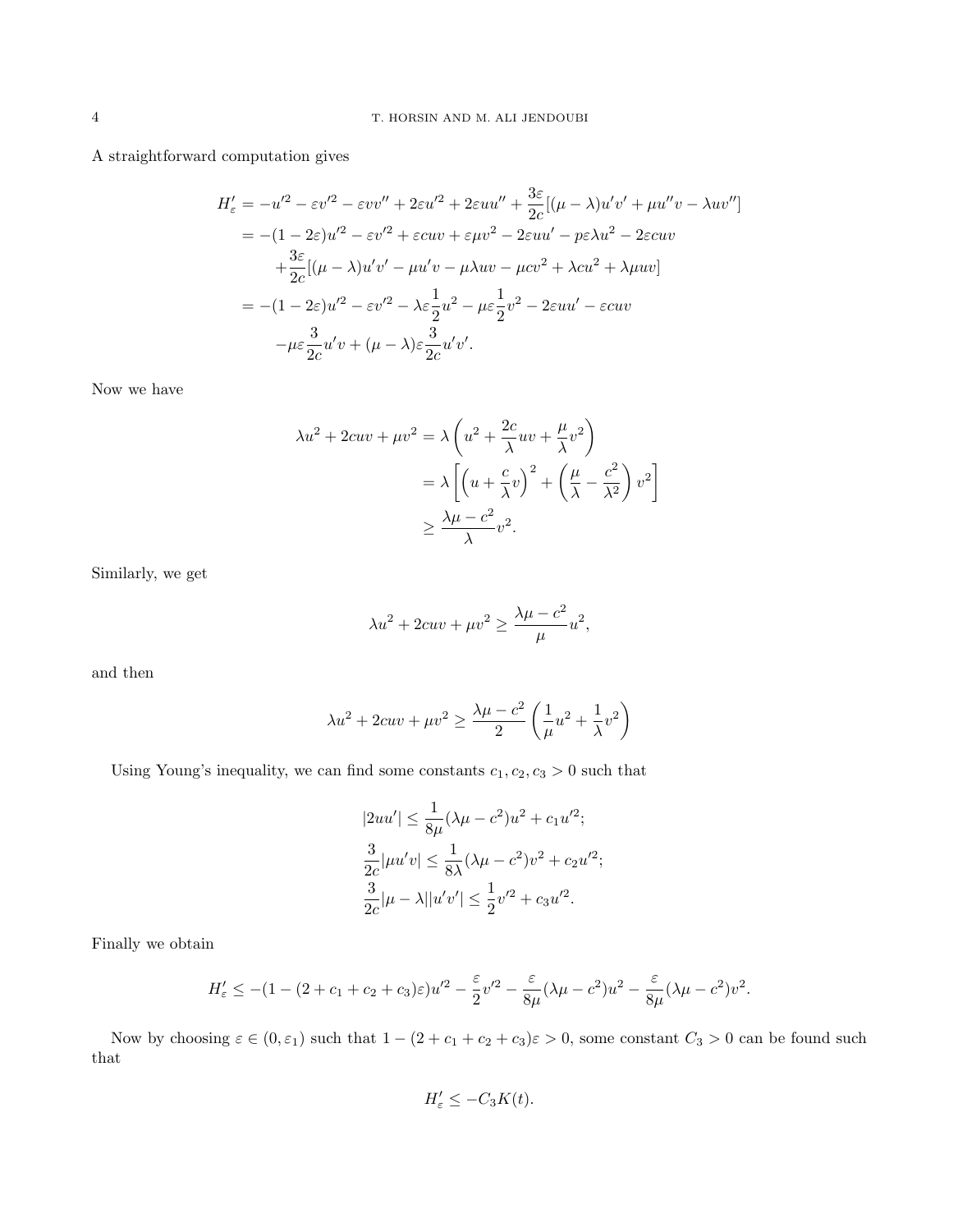A straightforward computation gives

$$
H'_{\varepsilon} = -u'^2 - \varepsilon v'^2 - \varepsilon vv'' + 2\varepsilon u'^2 + 2\varepsilon uu'' + \frac{3\varepsilon}{2c}[(\mu - \lambda)u'v' + \mu u''v - \lambda uv'']
$$
  
= -(1 - 2\varepsilon)u'^2 - \varepsilon v'^2 + \varepsilon cuv + \varepsilon \mu v^2 - 2\varepsilon uu' - p\varepsilon \lambda u^2 - 2\varepsilon cuv  
+ \frac{3\varepsilon}{2c}[(\mu - \lambda)u'v' - \mu u'v - \mu \lambda uv - \mu cv^2 + \lambda cu^2 + \lambda \mu uv]  
= -(1 - 2\varepsilon)u'^2 - \varepsilon v'^2 - \lambda \varepsilon \frac{1}{2}u^2 - \mu \varepsilon \frac{1}{2}v^2 - 2\varepsilon uu' - \varepsilon cuv  
- \mu \varepsilon \frac{3}{2c}u'v + (\mu - \lambda)\varepsilon \frac{3}{2c}u'v'.

Now we have

$$
\lambda u^2 + 2cuv + \mu v^2 = \lambda \left( u^2 + \frac{2c}{\lambda} uv + \frac{\mu}{\lambda} v^2 \right)
$$
  
=  $\lambda \left[ \left( u + \frac{c}{\lambda} v \right)^2 + \left( \frac{\mu}{\lambda} - \frac{c^2}{\lambda^2} \right) v^2 \right]$   
 $\geq \frac{\lambda \mu - c^2}{\lambda} v^2.$ 

Similarly, we get

$$
\lambda u^2 + 2cuv + \mu v^2 \ge \frac{\lambda \mu - c^2}{\mu} u^2,
$$

and then

$$
\lambda u^2 + 2cuv + \mu v^2 \ge \frac{\lambda \mu - c^2}{2} \left( \frac{1}{\mu} u^2 + \frac{1}{\lambda} v^2 \right)
$$

Using Young's inequality, we can find some constants  $c_1, c_2, c_3 > 0$  such that

$$
|2uu'| \le \frac{1}{8\mu}(\lambda\mu - c^2)u^2 + c_1u'^2;
$$
  

$$
\frac{3}{2c}|\mu u'v| \le \frac{1}{8\lambda}(\lambda\mu - c^2)v^2 + c_2u'^2;
$$
  

$$
\frac{3}{2c}|\mu - \lambda||u'v'| \le \frac{1}{2}v'^2 + c_3u'^2.
$$

Finally we obtain

$$
H'_{\varepsilon} \le -(1 - (2 + c_1 + c_2 + c_3)\varepsilon)u'^2 - \frac{\varepsilon}{2}v'^2 - \frac{\varepsilon}{8\mu}(\lambda\mu - c^2)u^2 - \frac{\varepsilon}{8\mu}(\lambda\mu - c^2)v^2.
$$

Now by choosing  $\varepsilon \in (0, \varepsilon_1)$  such that  $1 - (2 + c_1 + c_2 + c_3)\varepsilon > 0$ , some constant  $C_3 > 0$  can be found such that

$$
H'_{\varepsilon} \le -C_3 K(t).
$$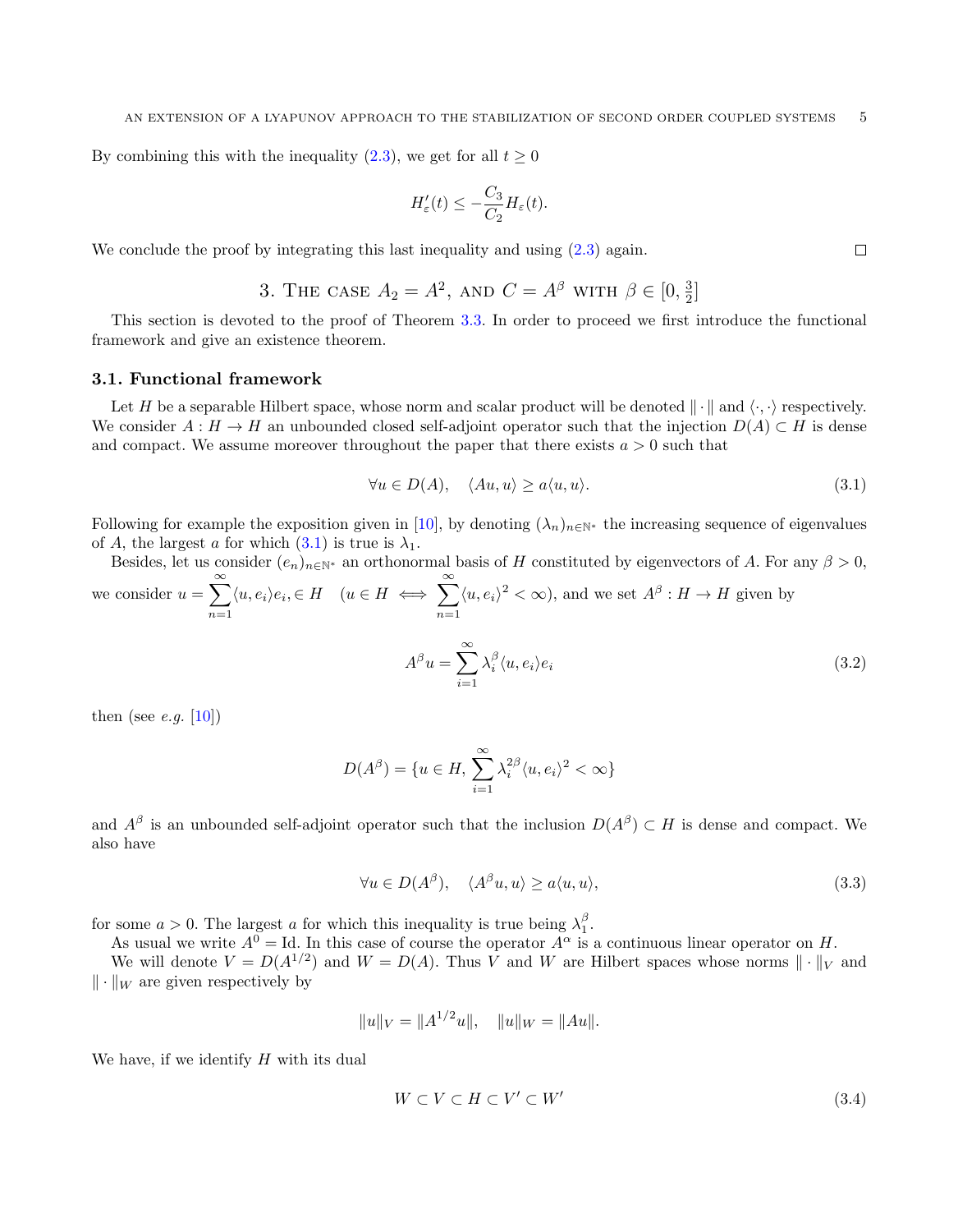By combining this with the inequality [\(2.3\)](#page-2-2), we get for all  $t \geq 0$ 

$$
H'_{\varepsilon}(t) \leq -\frac{C_3}{C_2} H_{\varepsilon}(t).
$$

We conclude the proof by integrating this last inequality and using  $(2.3)$  again.

3. THE CASE 
$$
A_2 = A^2
$$
, and  $C = A^{\beta}$  with  $\beta \in [0, \frac{3}{2}]$ 

<span id="page-4-0"></span>This section is devoted to the proof of Theorem [3.3.](#page-7-0) In order to proceed we first introduce the functional framework and give an existence theorem.

### 3.1. Functional framework

Let H be a separable Hilbert space, whose norm and scalar product will be denoted  $\|\cdot\|$  and  $\langle \cdot, \cdot \rangle$  respectively. We consider  $A : H \to H$  an unbounded closed self-adjoint operator such that the injection  $D(A) \subset H$  is dense and compact. We assume moreover throughout the paper that there exists  $a > 0$  such that

<span id="page-4-1"></span>
$$
\forall u \in D(A), \quad \langle Au, u \rangle \ge a \langle u, u \rangle. \tag{3.1}
$$

Following for example the exposition given in [\[10\]](#page-15-11), by denoting  $(\lambda_n)_{n\in\mathbb{N}^*}$  the increasing sequence of eigenvalues of A, the largest a for which  $(3.1)$  is true is  $\lambda_1$ .

Besides, let us consider  $(e_n)_{n\in\mathbb{N}^*}$  an orthonormal basis of H constituted by eigenvectors of A. For any  $\beta > 0$ , we consider  $u = \sum_{n=1}^{\infty}$  $n=1$  $\langle u, e_i \rangle e_i \in H \quad (u \in H \iff \sum^{\infty}$  $n=1$  $\langle u, e_i \rangle^2 < \infty$ , and we set  $A^{\beta}: H \to H$  given by  $A^{\beta}u = \sum^{\infty}$  $\lambda_i^{\beta} \langle u, e_i \rangle e_i$  (3.2)

 $i=1$ 

then (see *e.g.* [\[10\]](#page-15-11))

$$
D(A^{\beta}) = \{u \in H, \sum_{i=1}^{\infty} \lambda_i^{2\beta} \langle u, e_i \rangle^2 < \infty\}
$$

and  $A^{\beta}$  is an unbounded self-adjoint operator such that the inclusion  $D(A^{\beta}) \subset H$  is dense and compact. We also have

$$
\forall u \in D(A^{\beta}), \quad \langle A^{\beta} u, u \rangle \ge a \langle u, u \rangle,
$$
\n(3.3)

for some  $a > 0$ . The largest a for which this inequality is true being  $\lambda_1^{\beta}$ .

As usual we write  $A^0 = \text{Id}$ . In this case of course the operator  $A^{\alpha}$  is a continuous linear operator on H.

We will denote  $V = D(A^{1/2})$  and  $W = D(A)$ . Thus V and W are Hilbert spaces whose norms  $\|\cdot\|_V$  and  $\|\cdot\|_{W}$  are given respectively by

$$
||u||_V = ||A^{1/2}u||, \quad ||u||_W = ||Au||.
$$

We have, if we identify  $H$  with its dual

$$
W \subset V \subset H \subset V' \subset W'
$$
\n
$$
(3.4)
$$

 $\Box$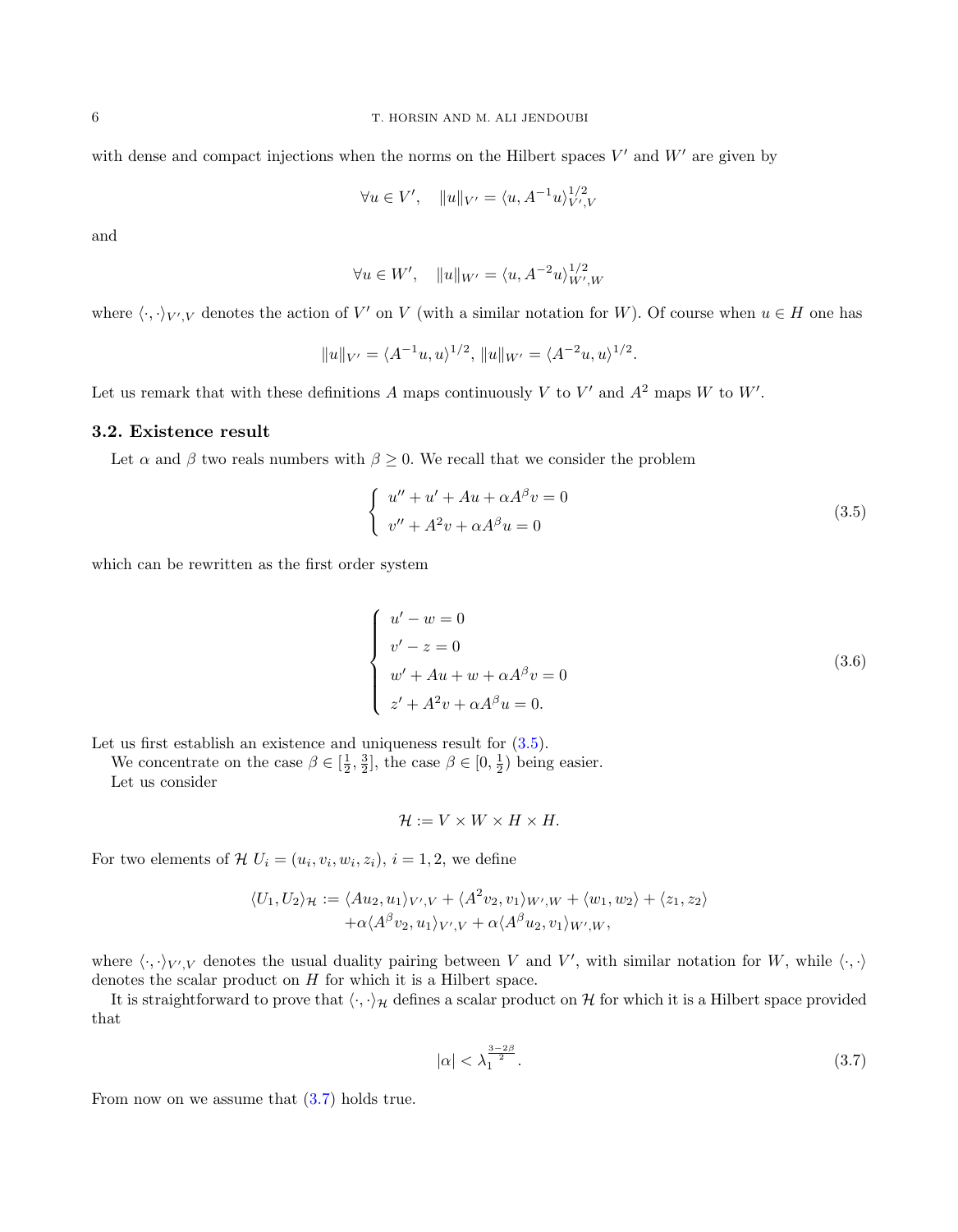with dense and compact injections when the norms on the Hilbert spaces  $V'$  and  $W'$  are given by

$$
\forall u \in V', \quad ||u||_{V'} = \langle u, A^{-1}u \rangle_{V',V}^{1/2}
$$

and

$$
\forall u \in W', \quad ||u||_{W'} = \langle u, A^{-2}u \rangle_{W',W}^{1/2}
$$

where  $\langle \cdot, \cdot \rangle_{V',V}$  denotes the action of V' on V (with a similar notation for W). Of course when  $u \in H$  one has

$$
||u||_{V'} = \langle A^{-1}u, u \rangle^{1/2}, ||u||_{W'} = \langle A^{-2}u, u \rangle^{1/2}.
$$

Let us remark that with these definitions A maps continuously V to V' and  $A^2$  maps W to W'.

#### 3.2. Existence result

Let  $\alpha$  and  $\beta$  two reals numbers with  $\beta \geq 0$ . We recall that we consider the problem

<span id="page-5-0"></span>
$$
\begin{cases}\nu'' + u' + Au + \alpha A^{\beta} v = 0\\v'' + A^2 v + \alpha A^{\beta} u = 0\end{cases}
$$
\n(3.5)

which can be rewritten as the first order system

$$
\begin{cases}\nu' - w = 0 \\
v' - z = 0 \\
w' + Au + w + \alpha A^{\beta} v = 0 \\
z' + A^2 v + \alpha A^{\beta} u = 0.\n\end{cases}
$$
\n(3.6)

Let us first establish an existence and uniqueness result for  $(3.5)$ .

We concentrate on the case  $\beta \in [\frac{1}{2}, \frac{3}{2}]$ , the case  $\beta \in [0, \frac{1}{2})$  being easier.

Let us consider

$$
\mathcal{H} := V \times W \times H \times H.
$$

For two elements of  $\mathcal{H} U_i = (u_i, v_i, w_i, z_i), i = 1, 2$ , we define

$$
\langle U_1, U_2 \rangle_{\mathcal{H}} := \langle Au_2, u_1 \rangle_{V', V} + \langle A^2 v_2, v_1 \rangle_{W', W} + \langle w_1, w_2 \rangle + \langle z_1, z_2 \rangle + \alpha \langle A^\beta v_2, u_1 \rangle_{V', V} + \alpha \langle A^\beta u_2, v_1 \rangle_{W', W},
$$

where  $\langle \cdot, \cdot \rangle_{V',V}$  denotes the usual duality pairing between V and V', with similar notation for W, while  $\langle \cdot, \cdot \rangle$ denotes the scalar product on  $H$  for which it is a Hilbert space.

It is straightforward to prove that  $\langle \cdot, \cdot \rangle_{\mathcal{H}}$  defines a scalar product on H for which it is a Hilbert space provided that

<span id="page-5-1"></span>
$$
|\alpha| < \lambda_1^{\frac{3-2\beta}{2}}.\tag{3.7}
$$

From now on we assume that  $(3.7)$  holds true.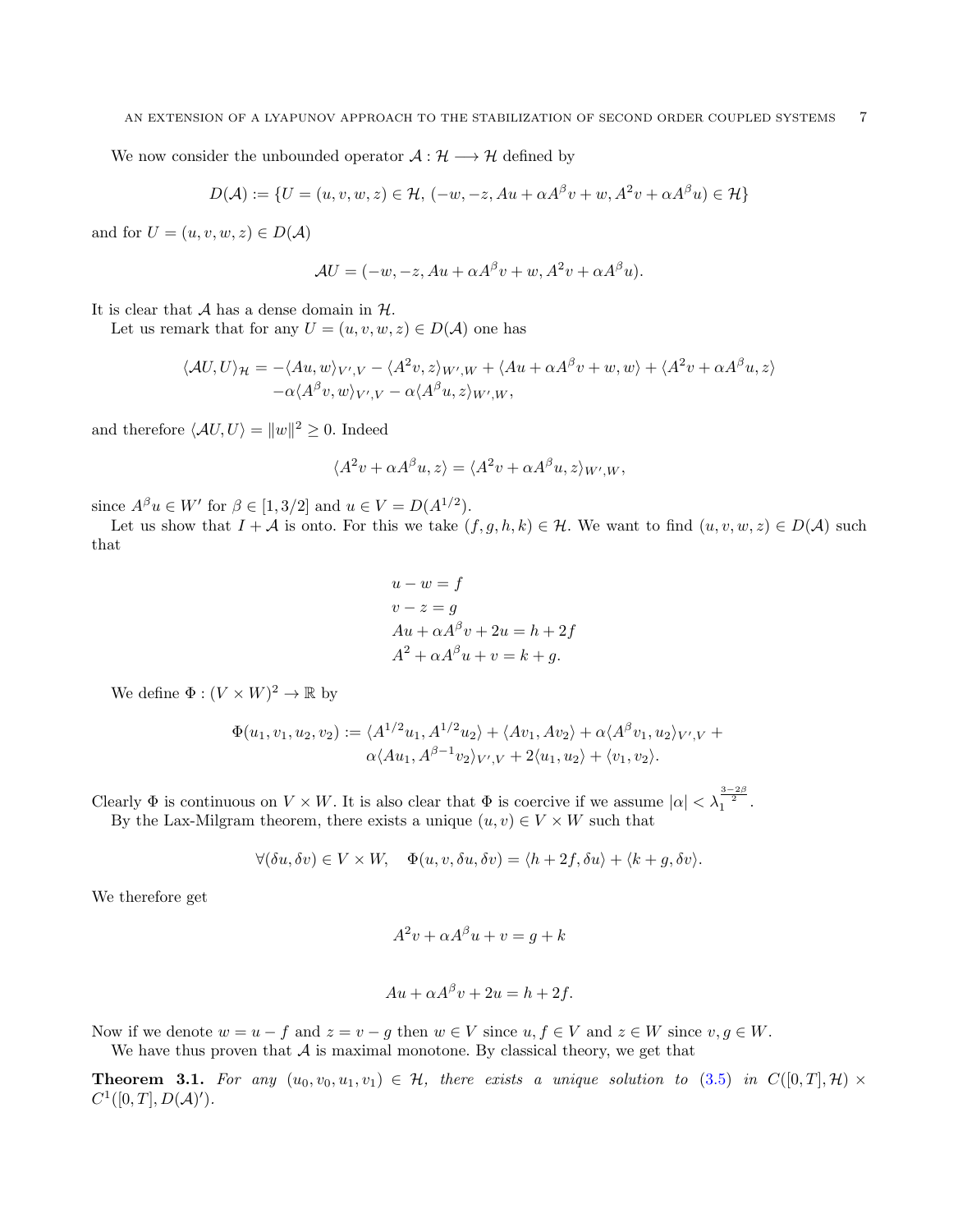We now consider the unbounded operator  $A: \mathcal{H} \longrightarrow \mathcal{H}$  defined by

$$
D(\mathcal{A}) := \{ U = (u, v, w, z) \in \mathcal{H}, \, (-w, -z, Au + \alpha A^{\beta} v + w, A^2 v + \alpha A^{\beta} u) \in \mathcal{H} \}
$$

and for  $U = (u, v, w, z) \in D(\mathcal{A})$ 

$$
\mathcal{A}U = (-w, -z, Au + \alpha A^{\beta} v + w, A^2 v + \alpha A^{\beta} u).
$$

It is clear that  $A$  has a dense domain in  $H$ .

Let us remark that for any  $U = (u, v, w, z) \in D(\mathcal{A})$  one has

$$
\langle AU, U \rangle_{\mathcal{H}} = -\langle Au, w \rangle_{V',V} - \langle A^2v, z \rangle_{W',W} + \langle Au + \alpha A^{\beta}v + w, w \rangle + \langle A^2v + \alpha A^{\beta}u, z \rangle -\alpha \langle A^{\beta}v, w \rangle_{V',V} - \alpha \langle A^{\beta}u, z \rangle_{W',W},
$$

and therefore  $\langle AU, U \rangle = ||w||^2 \geq 0$ . Indeed

$$
\langle A^2v + \alpha A^\beta u, z \rangle = \langle A^2v + \alpha A^\beta u, z \rangle_{W',W},
$$

since  $A^{\beta}u \in W'$  for  $\beta \in [1, 3/2]$  and  $u \in V = D(A^{1/2})$ .

Let us show that  $I + \mathcal{A}$  is onto. For this we take  $(f, g, h, k) \in \mathcal{H}$ . We want to find  $(u, v, w, z) \in D(\mathcal{A})$  such that

$$
u - w = f
$$
  
\n
$$
v - z = g
$$
  
\n
$$
Au + \alpha A^{\beta} v + 2u = h + 2f
$$
  
\n
$$
A^2 + \alpha A^{\beta} u + v = k + g.
$$

We define  $\Phi : (V \times W)^2 \to \mathbb{R}$  by

$$
\Phi(u_1, v_1, u_2, v_2) := \langle A^{1/2} u_1, A^{1/2} u_2 \rangle + \langle A v_1, A v_2 \rangle + \alpha \langle A^{\beta} v_1, u_2 \rangle_{V', V} + \alpha \langle A u_1, A^{\beta - 1} v_2 \rangle_{V', V} + 2 \langle u_1, u_2 \rangle + \langle v_1, v_2 \rangle.
$$

Clearly  $\Phi$  is continuous on  $V \times W$ . It is also clear that  $\Phi$  is coercive if we assume  $|\alpha| < \lambda_1^{\frac{3-2\beta}{2}}$ . By the Lax-Milgram theorem, there exists a unique  $(u, v) \in V \times W$  such that

$$
\forall (\delta u, \delta v) \in V \times W, \quad \Phi(u, v, \delta u, \delta v) = \langle h + 2f, \delta u \rangle + \langle k + g, \delta v \rangle.
$$

We therefore get

$$
A^2v + \alpha A^\beta u + v = g + k
$$

$$
Au + \alpha A^{\beta} v + 2u = h + 2f.
$$

Now if we denote  $w = u - f$  and  $z = v - g$  then  $w \in V$  since  $u, f \in V$  and  $z \in W$  since  $v, g \in W$ . We have thus proven that  $A$  is maximal monotone. By classical theory, we get that

<span id="page-6-0"></span>**Theorem 3.1.** For any  $(u_0, v_0, u_1, v_1) \in \mathcal{H}$ , there exists a unique solution to [\(3.5\)](#page-5-0) in  $C([0, T], \mathcal{H}) \times$  $C^1([0,T], D(\mathcal{A})')$ .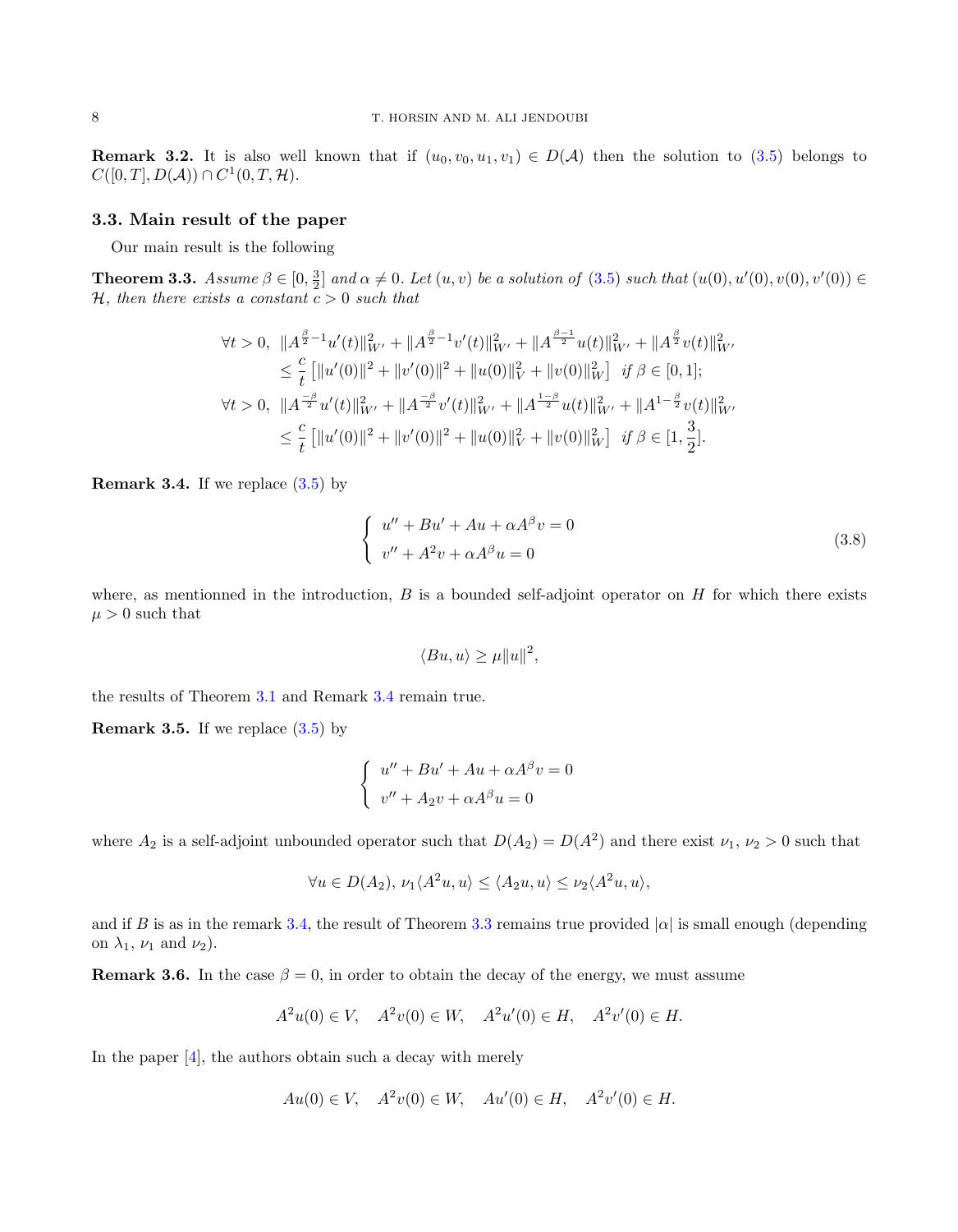**Remark 3.2.** It is also well known that if  $(u_0, v_0, u_1, v_1) \in D(\mathcal{A})$  then the solution to [\(3.5\)](#page-5-0) belongs to  $C([0,T], D(\mathcal{A})) \cap C^1(0,T,\mathcal{H}).$ 

#### 3.3. Main result of the paper

Our main result is the following

<span id="page-7-0"></span>**Theorem 3.3.** Assume  $\beta \in [0, \frac{3}{2}]$  and  $\alpha \neq 0$ . Let  $(u, v)$  be a solution of  $(3.5)$  such that  $(u(0), u'(0), v'(0)) \in$ H, then there exists a constant  $c > 0$  such that

$$
\forall t > 0, \ \|A^{\frac{\beta}{2}-1}u'(t)\|_{W'}^2 + \|A^{\frac{\beta}{2}-1}v'(t)\|_{W'}^2 + \|A^{\frac{\beta-1}{2}}u(t)\|_{W'}^2 + \|A^{\frac{\beta}{2}}v(t)\|_{W'}^2
$$
  
\n
$$
\leq \frac{c}{t} [||u'(0)||^2 + ||v'(0)||^2 + ||u(0)||_V^2 + ||v(0)||_W^2] \ \text{if } \beta \in [0, 1];
$$
  
\n
$$
\forall t > 0, \ \|A^{\frac{-\beta}{2}}u'(t)\|_{W'}^2 + \|A^{\frac{-\beta}{2}}v'(t)\|_{W'}^2 + \|A^{\frac{1-\beta}{2}}u(t)\|_{W'}^2 + \|A^{1-\frac{\beta}{2}}v(t)\|_{W'}^2
$$
  
\n
$$
\leq \frac{c}{t} [||u'(0)||^2 + ||v'(0)||^2 + ||u(0)||_V^2 + ||v(0)||_W^2] \ \text{if } \beta \in [1, \frac{3}{2}].
$$

<span id="page-7-1"></span>**Remark 3.4.** If we replace  $(3.5)$  by

$$
\begin{cases}\nu'' + Bu' + Au + \alpha A^{\beta} v = 0\\v'' + A^2 v + \alpha A^{\beta} u = 0\end{cases}
$$
\n(3.8)

where, as mentionned in the introduction,  $B$  is a bounded self-adjoint operator on  $H$  for which there exists  $\mu > 0$  such that

$$
\langle Bu, u \rangle \ge \mu \|u\|^2,
$$

the results of Theorem [3.1](#page-6-0) and Remark [3.4](#page-7-1) remain true.

<span id="page-7-2"></span>**Remark 3.5.** If we replace  $(3.5)$  by

$$
\begin{cases}\nu'' + Bu' + Au + \alpha A^{\beta} v = 0 \\
v'' + A_2 v + \alpha A^{\beta} u = 0\n\end{cases}
$$

where  $A_2$  is a self-adjoint unbounded operator such that  $D(A_2) = D(A^2)$  and there exist  $\nu_1, \nu_2 > 0$  such that

$$
\forall u \in D(A_2), \, \nu_1 \langle A^2 u, u \rangle \le \langle A_2 u, u \rangle \le \nu_2 \langle A^2 u, u \rangle,
$$

and if B is as in the remark [3.4,](#page-7-1) the result of Theorem [3.3](#page-7-0) remains true provided  $|\alpha|$  is small enough (depending on  $\lambda_1$ ,  $\nu_1$  and  $\nu_2$ ).

**Remark 3.6.** In the case  $\beta = 0$ , in order to obtain the decay of the energy, we must assume

$$
A^2u(0) \in V
$$
,  $A^2v(0) \in W$ ,  $A^2u'(0) \in H$ ,  $A^2v'(0) \in H$ .

In the paper [\[4\]](#page-15-0), the authors obtain such a decay with merely

$$
Au(0) \in V, \quad A^2v(0) \in W, \quad Au'(0) \in H, \quad A^2v'(0) \in H.
$$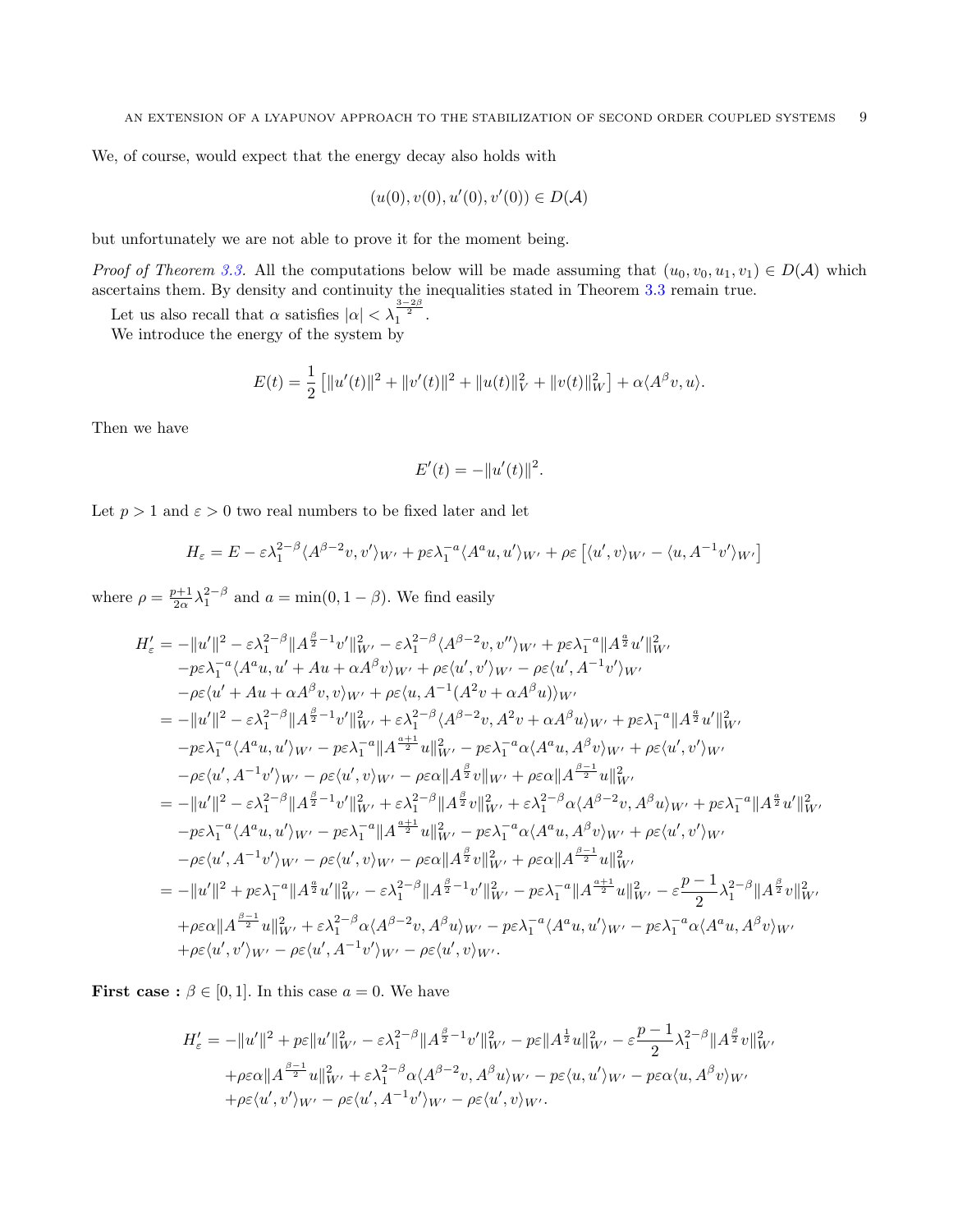We, of course, would expect that the energy decay also holds with

$$
(u(0), v(0), u'(0), v'(0)) \in D(\mathcal{A})
$$

but unfortunately we are not able to prove it for the moment being.

Proof of Theorem [3.3.](#page-7-0) All the computations below will be made assuming that  $(u_0, v_0, u_1, v_1) \in D(\mathcal{A})$  which ascertains them. By density and continuity the inequalities stated in Theorem [3.3](#page-7-0) remain true.

Let us also recall that  $\alpha$  satisfies  $|\alpha| < \lambda_1^{\frac{3-2\beta}{2}}$ .

We introduce the energy of the system by

$$
E(t) = \frac{1}{2} \left[ ||u'(t)||^2 + ||v'(t)||^2 + ||u(t)||_V^2 + ||v(t)||_W^2 \right] + \alpha \langle A^{\beta} v, u \rangle.
$$

Then we have

$$
E'(t) = -||u'(t)||^2.
$$

Let  $p > 1$  and  $\varepsilon > 0$  two real numbers to be fixed later and let

$$
H_{\varepsilon} = E - \varepsilon \lambda_1^{2-\beta} \langle A^{\beta-2} v, v' \rangle_{W'} + p \varepsilon \lambda_1^{-a} \langle A^a u, u' \rangle_{W'} + \rho \varepsilon \left[ \langle u', v \rangle_{W'} - \langle u, A^{-1} v' \rangle_{W'} \right]
$$

where  $\rho = \frac{p+1}{2\alpha} \lambda_1^{2-\beta}$  and  $a = \min(0, 1-\beta)$ . We find easily

$$
H'_{\varepsilon} = -||u'||^2 - \varepsilon \lambda_1^{2-\beta}||A^{\frac{\beta}{2}-1}v'||_{W'}^2 - \varepsilon \lambda_1^{2-\beta} \langle A^{\beta-2}v, v'' \rangle_{W'} + p\varepsilon \lambda_1^{-a}||A^{\frac{\alpha}{2}}u'||_{W'}^2
$$
  
\n
$$
-p\varepsilon \lambda_1^{-a} \langle A^a u, u' + Au + \alpha A^{\beta}v \rangle_{W'} + \rho \varepsilon \langle u', v' \rangle_{W'} - \rho \varepsilon \langle u', A^{-1}v' \rangle_{W'}
$$
  
\n
$$
- \rho \varepsilon \langle u' + Au + \alpha A^{\beta}v, v \rangle_{W'} + \rho \varepsilon \langle u, A^{-1} (A^2v + \alpha A^{\beta}u) \rangle_{W'}
$$
  
\n
$$
= -||u'||^2 - \varepsilon \lambda_1^{2-\beta}||A^{\frac{\beta}{2}-1}v'||_{W'}^2 + \varepsilon \lambda_1^{2-\beta} \langle A^{\beta-2}v, A^2v + \alpha A^{\beta}u \rangle_{W'} + p\varepsilon \lambda_1^{-a}||A^{\frac{\alpha}{2}}u'||_{W'}^2
$$
  
\n
$$
-p\varepsilon \lambda_1^{-a} \langle A^a u, u' \rangle_{W'} - p\varepsilon \lambda_1^{-a}||A^{\frac{\alpha+1}{2}}u||_{W'}^2 - p\varepsilon \lambda_1^{-a} \alpha \langle A^a u, A^{\beta}v \rangle_{W'} + \rho \varepsilon \langle u', v' \rangle_{W'}
$$
  
\n
$$
- \rho \varepsilon \langle u', A^{-1}v' \rangle_{W'} - \rho \varepsilon \langle u', v \rangle_{W'} - \rho \varepsilon \alpha ||A^{\frac{\beta}{2}}v||_{W'} + \rho \varepsilon \alpha ||A^{\frac{\beta-1}{2}}u||_{W'}^2
$$
  
\n
$$
= -||u'||^2 - \varepsilon \lambda_1^{2-\beta}||A^{\frac{\beta}{2}-1}v'||_{W'}^2 + \varepsilon \lambda_1^{2-\beta}||A^{\frac{\beta}{2}}v||_{W'}^2 + \varepsilon \lambda_1^{2-\beta} \alpha \langle A^{\beta-2}v, A^{\beta}u \rangle_{W'} + p\varepsilon \lambda_1^{-a}||A^{\frac{\
$$

**First case :**  $\beta \in [0, 1]$ . In this case  $a = 0$ . We have

$$
H'_{\varepsilon} = -\|u'\|^2 + p\varepsilon\|u'\|^2_{W'} - \varepsilon\lambda_1^{2-\beta}\|A^{\frac{\beta}{2}-1}v'\|^2_{W'} - p\varepsilon\|A^{\frac{1}{2}}u\|^2_{W'} - \varepsilon\frac{p-1}{2}\lambda_1^{2-\beta}\|A^{\frac{\beta}{2}}v\|^2_{W'}
$$
  
+ $p\varepsilon\alpha\|A^{\frac{\beta-1}{2}}u\|^2_{W'} + \varepsilon\lambda_1^{2-\beta}\alpha\langle A^{\beta-2}v, A^{\beta}u\rangle_{W'} - p\varepsilon\langle u, u'\rangle_{W'} - p\varepsilon\alpha\langle u, A^{\beta}v\rangle_{W'}$   
+ $p\varepsilon\langle u', v'\rangle_{W'} - \rho\varepsilon\langle u', A^{-1}v'\rangle_{W'} - \rho\varepsilon\langle u', v\rangle_{W'}.$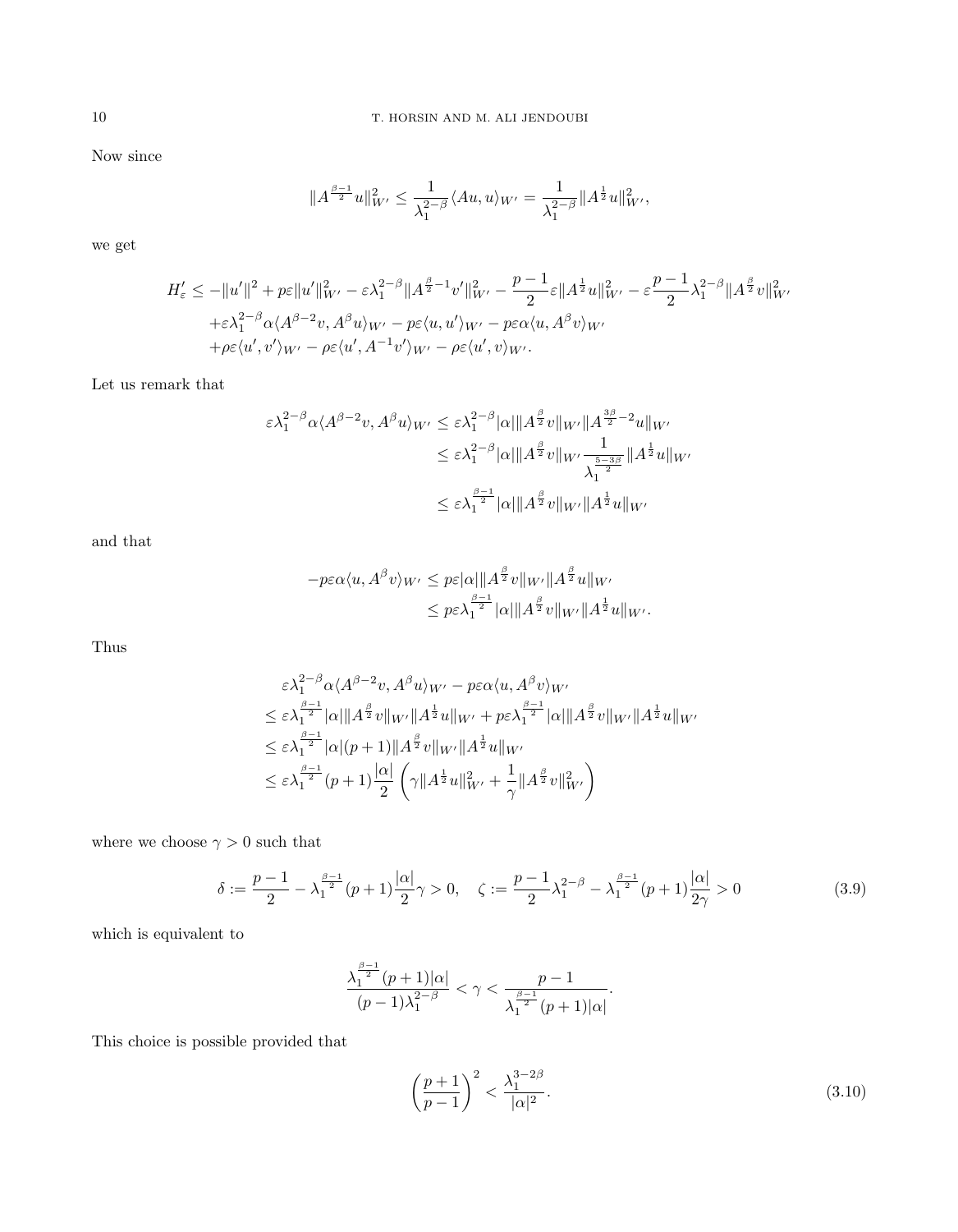Now since

$$
||A^{\frac{\beta-1}{2}}u||_{W'}^2 \leq \frac{1}{\lambda_1^{2-\beta}} \langle Au, u \rangle_{W'} = \frac{1}{\lambda_1^{2-\beta}} ||A^{\frac{1}{2}}u||_{W'}^2,
$$

we get

$$
H'_{\varepsilon} \le -\|u'\|^2 + p\varepsilon \|u'\|^2_{W'} - \varepsilon \lambda_1^{2-\beta} \|A^{\frac{\beta}{2}-1}v'\|^2_{W'} - \frac{p-1}{2} \varepsilon \|A^{\frac{1}{2}}u\|^2_{W'} - \varepsilon \frac{p-1}{2} \lambda_1^{2-\beta} \|A^{\frac{\beta}{2}}v\|^2_{W'}
$$
  
+ $\varepsilon \lambda_1^{2-\beta} \alpha \langle A^{\beta-2}v, A^{\beta}u \rangle_{W'} - p\varepsilon \langle u, u' \rangle_{W'} - p\varepsilon \alpha \langle u, A^{\beta}v \rangle_{W'}$   
+ $\rho \varepsilon \langle u', v' \rangle_{W'} - \rho \varepsilon \langle u', A^{-1}v' \rangle_{W'} - \rho \varepsilon \langle u', v \rangle_{W'}.$ 

Let us remark that

$$
\varepsilon \lambda_1^{2-\beta} \alpha \langle A^{\beta-2} v, A^{\beta} u \rangle_{W'} \leq \varepsilon \lambda_1^{2-\beta} |\alpha| \| A^{\frac{\beta}{2}} v \|_{W'} \| A^{\frac{3\beta}{2}-2} u \|_{W'}
$$
  

$$
\leq \varepsilon \lambda_1^{2-\beta} |\alpha| \| A^{\frac{\beta}{2}} v \|_{W'} \frac{1}{\lambda_1^{\frac{5-3\beta}{2}}} \| A^{\frac{1}{2}} u \|_{W'}
$$
  

$$
\leq \varepsilon \lambda_1^{\frac{\beta-1}{2}} |\alpha| \| A^{\frac{\beta}{2}} v \|_{W'} \| A^{\frac{1}{2}} u \|_{W'}
$$

and that

$$
-p\varepsilon\alpha\langle u, A^{\beta}v\rangle_{W'} \leq p\varepsilon|\alpha|\|A^{\frac{\beta}{2}}v\|_{W'}\|A^{\frac{\beta}{2}}u\|_{W'}
$$
  

$$
\leq p\varepsilon\lambda_1^{\frac{\beta-1}{2}}|\alpha|\|A^{\frac{\beta}{2}}v\|_{W'}\|A^{\frac{1}{2}}u\|_{W'}.
$$

Thus

$$
\varepsilon \lambda_1^{2-\beta} \alpha \langle A^{\beta-2}v, A^{\beta}u \rangle_{W'} - p\varepsilon \alpha \langle u, A^{\beta}v \rangle_{W'}
$$
\n
$$
\leq \varepsilon \lambda_1^{\frac{\beta-1}{2}} |\alpha| \|A^{\frac{\beta}{2}}v\|_{W'} \|A^{\frac{1}{2}}u\|_{W'} + p\varepsilon \lambda_1^{\frac{\beta-1}{2}} |\alpha| \|A^{\frac{\beta}{2}}v\|_{W'} \|A^{\frac{1}{2}}u\|_{W'}
$$
\n
$$
\leq \varepsilon \lambda_1^{\frac{\beta-1}{2}} |\alpha|(p+1) \|A^{\frac{\beta}{2}}v\|_{W'} \|A^{\frac{1}{2}}u\|_{W'}
$$
\n
$$
\leq \varepsilon \lambda_1^{\frac{\beta-1}{2}}(p+1) \frac{|\alpha|}{2} \left(\gamma \|A^{\frac{1}{2}}u\|_{W'}^2 + \frac{1}{\gamma} \|A^{\frac{\beta}{2}}v\|_{W'}^2\right)
$$

where we choose  $\gamma>0$  such that

<span id="page-9-1"></span>
$$
\delta := \frac{p-1}{2} - \lambda_1^{\frac{\beta-1}{2}}(p+1)\frac{|\alpha|}{2}\gamma > 0, \quad \zeta := \frac{p-1}{2}\lambda_1^{2-\beta} - \lambda_1^{\frac{\beta-1}{2}}(p+1)\frac{|\alpha|}{2\gamma} > 0
$$
\n(3.9)

which is equivalent to

$$
\frac{\lambda_{1}^{\frac{\beta-1}{2}}(p+1)|\alpha|}{(p-1)\lambda_{1}^{2-\beta}}<\gamma<\frac{p-1}{\lambda_{1}^{\frac{\beta-1}{2}}(p+1)|\alpha|}.
$$

This choice is possible provided that

<span id="page-9-0"></span>
$$
\left(\frac{p+1}{p-1}\right)^2 < \frac{\lambda_1^{3-2\beta}}{|\alpha|^2}.\tag{3.10}
$$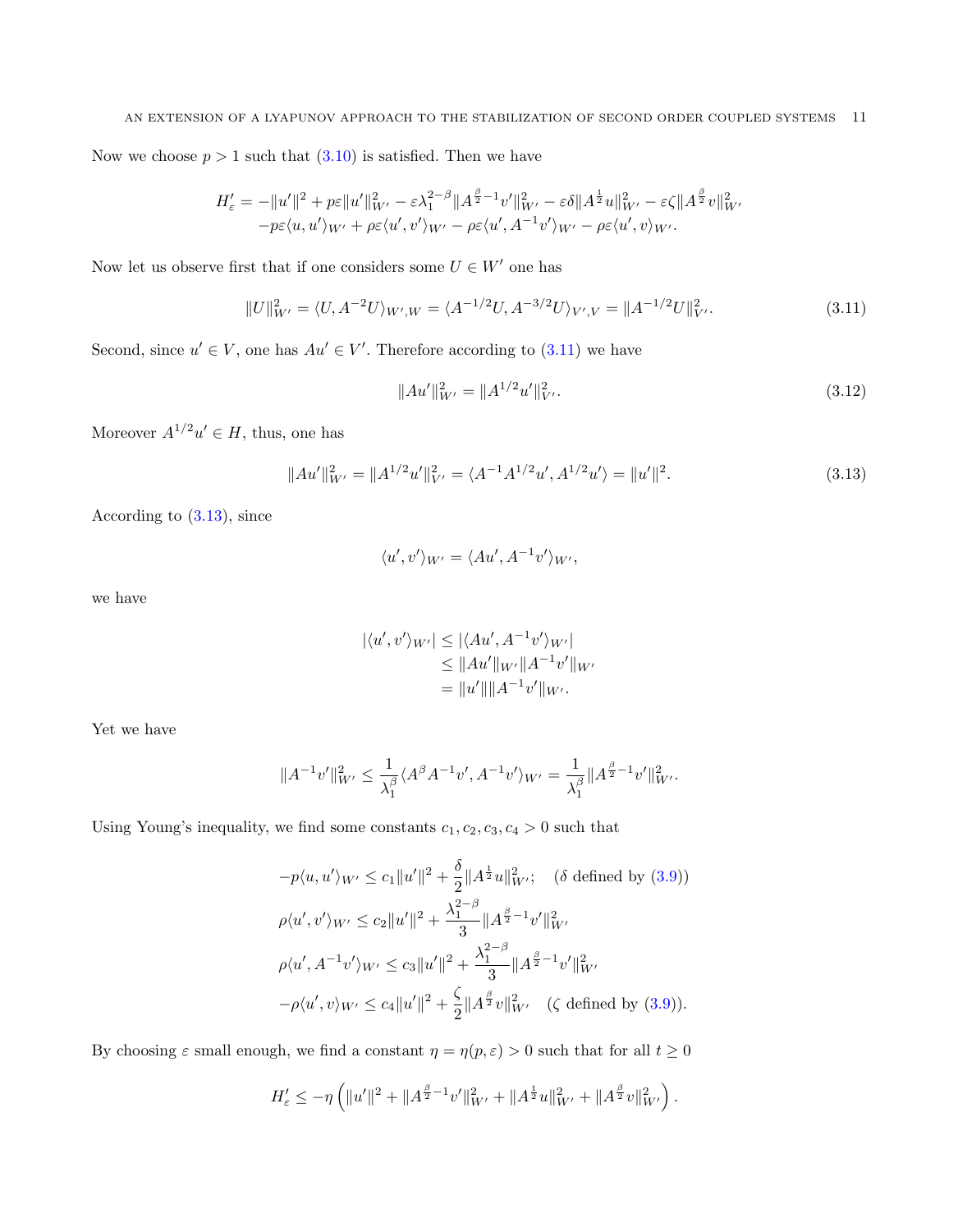#### AN EXTENSION OF A LYAPUNOV APPROACH TO THE STABILIZATION OF SECOND ORDER COUPLED SYSTEMS 11

Now we choose  $p > 1$  such that  $(3.10)$  is satisfied. Then we have

$$
H'_{\varepsilon} = -\|u'\|^2 + p\varepsilon\|u'\|^2_{W'} - \varepsilon\lambda_1^{2-\beta}\|A^{\frac{\beta}{2}-1}v'\|^2_{W'} - \varepsilon\delta\|A^{\frac{1}{2}}u\|^2_{W'} - \varepsilon\zeta\|A^{\frac{\beta}{2}}v\|^2_{W'} -p\varepsilon\langle u, u'\rangle_{W'} + \rho\varepsilon\langle u', v'\rangle_{W'} - \rho\varepsilon\langle u', A^{-1}v'\rangle_{W'} - \rho\varepsilon\langle u', v\rangle_{W'}.
$$

Now let us observe first that if one considers some  $U \in W'$  one has

<span id="page-10-0"></span>
$$
||U||_{W'}^2 = \langle U, A^{-2}U \rangle_{W',W} = \langle A^{-1/2}U, A^{-3/2}U \rangle_{V',V} = ||A^{-1/2}U||_{V'}^2.
$$
\n(3.11)

Second, since  $u' \in V$ , one has  $Au' \in V'$ . Therefore according to [\(3.11\)](#page-10-0) we have

$$
||Au'||_{W'}^2 = ||A^{1/2}u'||_{V'}^2.
$$
\n(3.12)

Moreover  $A^{1/2}u' \in H$ , thus, one has

<span id="page-10-1"></span>
$$
||Au'||_{W'}^2 = ||A^{1/2}u'||_{V'}^2 = \langle A^{-1}A^{1/2}u', A^{1/2}u' \rangle = ||u'||^2.
$$
\n(3.13)

According to [\(3.13\)](#page-10-1), since

$$
\langle u', v' \rangle_{W'} = \langle Au', A^{-1}v' \rangle_{W'},
$$

we have

$$
|\langle u', v' \rangle_{W'}| \le |\langle Au', A^{-1}v' \rangle_{W'}|
$$
  
\n
$$
\le ||Au'||_{W'}||A^{-1}v'||_{W'}
$$
  
\n
$$
= ||u'|| ||A^{-1}v'||_{W'}.
$$

Yet we have

$$
||A^{-1}v'||_{W'}^2 \leq \frac{1}{\lambda_1^{\beta}} \langle A^{\beta} A^{-1}v', A^{-1}v' \rangle_{W'} = \frac{1}{\lambda_1^{\beta}} ||A^{\frac{\beta}{2}-1}v'||_{W'}^2.
$$

Using Young's inequality, we find some constants  $c_1, c_2, c_3, c_4 > 0$  such that

$$
-p\langle u, u'\rangle_{W'} \le c_1 \|u'\|^2 + \frac{\delta}{2} \|A^{\frac{1}{2}}u\|_{W'}^2; \quad (\delta \text{ defined by (3.9)})
$$
  

$$
\rho\langle u', v'\rangle_{W'} \le c_2 \|u'\|^2 + \frac{\lambda_1^{2-\beta}}{3} \|A^{\frac{\beta}{2}-1}v'\|_{W'}^2
$$
  

$$
\rho\langle u', A^{-1}v'\rangle_{W'} \le c_3 \|u'\|^2 + \frac{\lambda_1^{2-\beta}}{3} \|A^{\frac{\beta}{2}-1}v'\|_{W'}^2
$$
  

$$
-\rho\langle u', v\rangle_{W'} \le c_4 \|u'\|^2 + \frac{\zeta}{2} \|A^{\frac{\beta}{2}}v\|_{W'}^2 \quad (\zeta \text{ defined by (3.9)}).
$$

By choosing  $\varepsilon$  small enough, we find a constant  $\eta = \eta(p, \varepsilon) > 0$  such that for all  $t \ge 0$ 

$$
H'_{\varepsilon} \leq -\eta \left( \|u'\|^2 + \|A^{\frac{\beta}{2}-1}v'\|^2_{W'} + \|A^{\frac{1}{2}}u\|^2_{W'} + \|A^{\frac{\beta}{2}}v\|^2_{W'} \right).
$$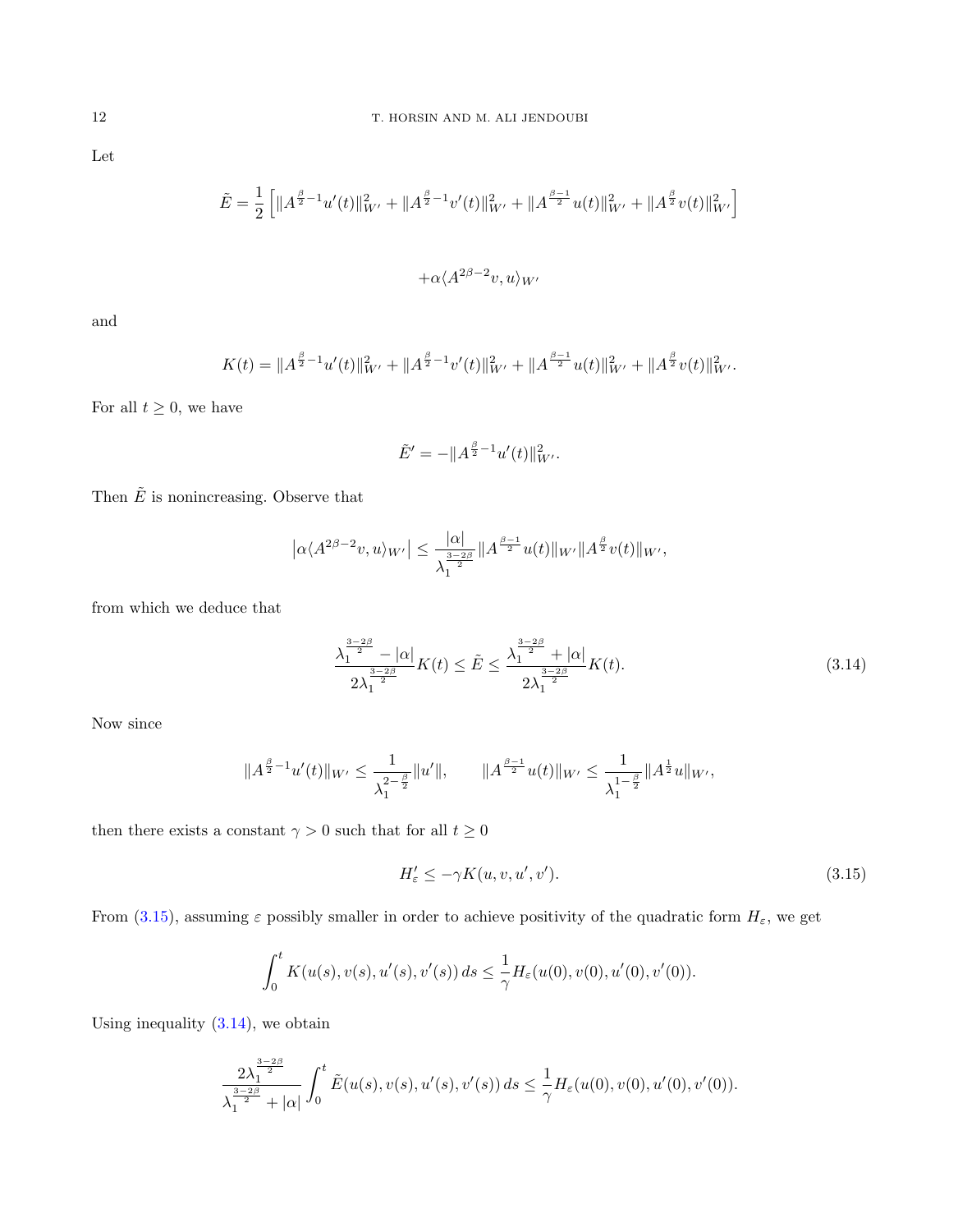Let

$$
\tilde{E} = \frac{1}{2} \left[ \|A^{\frac{\beta}{2}-1}u'(t)\|_{W'}^2 + \|A^{\frac{\beta}{2}-1}v'(t)\|_{W'}^2 + \|A^{\frac{\beta-1}{2}}u(t)\|_{W'}^2 + \|A^{\frac{\beta}{2}}v(t)\|_{W'}^2 \right]
$$

$$
+\alpha \langle A^{2\beta-2}v, u \rangle_{W'}
$$

and

$$
K(t) = \|A^{\frac{\beta}{2}-1}u'(t)\|_{W'}^2 + \|A^{\frac{\beta}{2}-1}v'(t)\|_{W'}^2 + \|A^{\frac{\beta-1}{2}}u(t)\|_{W'}^2 + \|A^{\frac{\beta}{2}}v(t)\|_{W'}^2.
$$

For all  $t \geq 0$ , we have

$$
\tilde{E}' = -\|A^{\frac{\beta}{2}-1}u'(t)\|_{W'}^2.
$$

Then  $\tilde{E}$  is nonincreasing. Observe that

$$
\left|\alpha\langle A^{2\beta-2}v,u\rangle_{W'}\right|\leq \frac{|\alpha|}{\lambda_1^{\frac{3-2\beta}{2}}}\|A^{\frac{\beta-1}{2}}u(t)\|_{W'}\|A^{\frac{\beta}{2}}v(t)\|_{W'},
$$

from which we deduce that

<span id="page-11-1"></span>
$$
\frac{\lambda_1^{\frac{3-2\beta}{2}} - |\alpha|}{2\lambda_1^{\frac{3-2\beta}{2}}} K(t) \le \tilde{E} \le \frac{\lambda_1^{\frac{3-2\beta}{2}} + |\alpha|}{2\lambda_1^{\frac{3-2\beta}{2}}} K(t).
$$
\n(3.14)

Now since

$$
\|A^{\frac{\beta}{2}-1}u'(t)\|_{W'}\leq \frac{1}{\lambda_1^{2-\frac{\beta}{2}}}\|u'\|,\qquad \|A^{\frac{\beta-1}{2}}u(t)\|_{W'}\leq \frac{1}{\lambda_1^{1-\frac{\beta}{2}}}\|A^{\frac{1}{2}}u\|_{W'},
$$

then there exists a constant  $\gamma>0$  such that for all  $t\geq 0$ 

<span id="page-11-0"></span>
$$
H'_{\varepsilon} \le -\gamma K(u, v, u', v'). \tag{3.15}
$$

From [\(3.15\)](#page-11-0), assuming  $\varepsilon$  possibly smaller in order to achieve positivity of the quadratic form  $H_{\varepsilon}$ , we get

$$
\int_0^t K(u(s), v(s), u'(s), v'(s)) ds \leq \frac{1}{\gamma} H_{\varepsilon}(u(0), v(0), u'(0), v'(0)).
$$

Using inequality  $(3.14)$ , we obtain

$$
\frac{2\lambda_1^{\frac{3-2\beta}{2}}}{\lambda_1^{\frac{3-2\beta}{2}}+|\alpha|}\int_0^t \tilde{E}(u(s),v(s),u'(s),v'(s))\,ds\leq \frac{1}{\gamma}H_{\varepsilon}(u(0),v(0),u'(0),v'(0)).
$$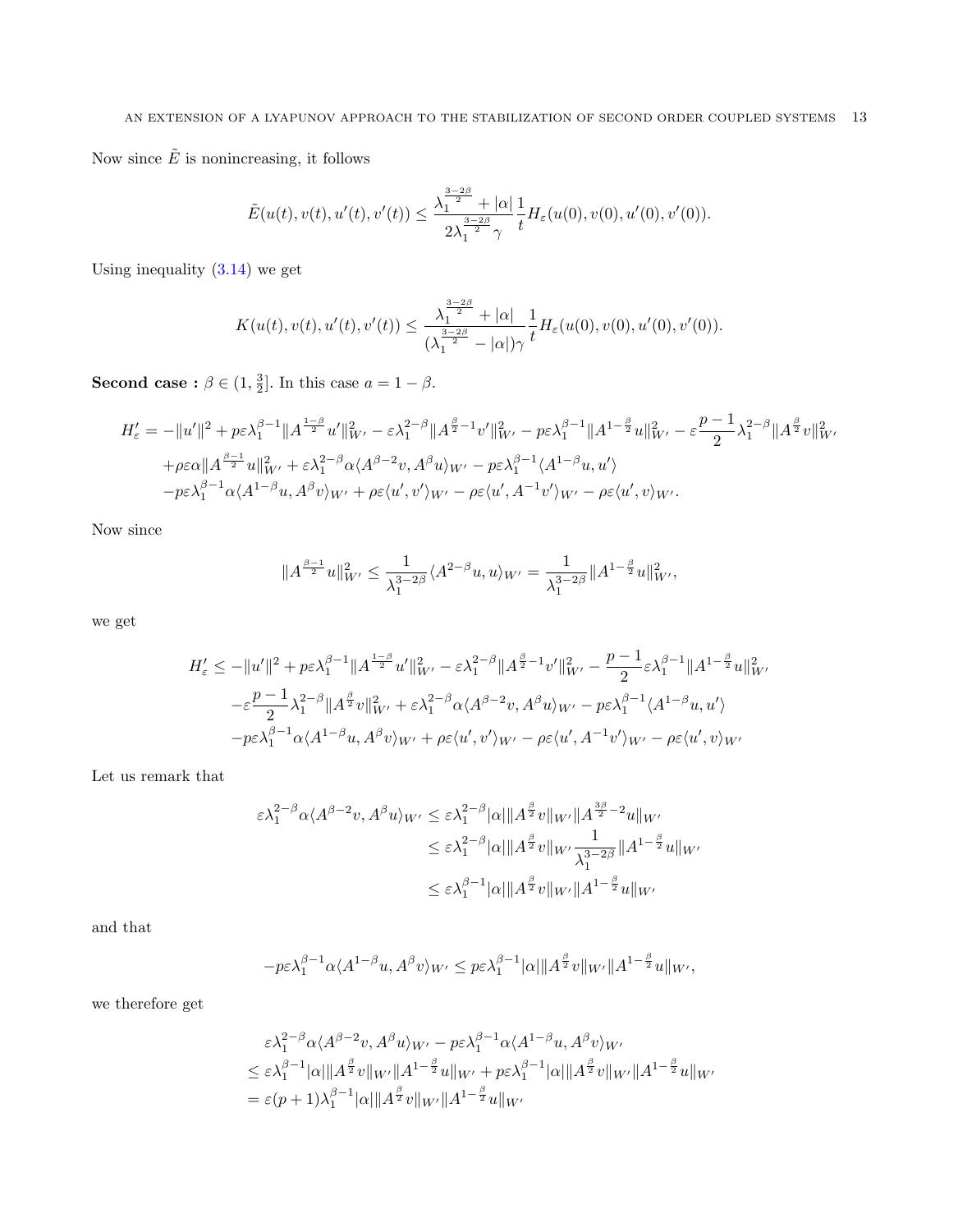Now since  $\tilde{E}$  is nonincreasing, it follows

$$
\tilde{E}(u(t),v(t),u'(t),v'(t)) \leq \frac{\lambda_1^{\frac{3-2\beta}{2}} + |\alpha|}{2\lambda_1^{\frac{3-2\beta}{2}}\gamma}\frac{1}{t}H_{\varepsilon}(u(0),v(0),u'(0),v'(0)).
$$

Using inequality  $(3.14)$  we get

$$
K(u(t), v(t), u'(t), v'(t)) \le \frac{\lambda_1^{\frac{3-2\beta}{2}} + |\alpha|}{(\lambda_1^{\frac{3-2\beta}{2}} - |\alpha|) \gamma} \frac{1}{t} H_{\varepsilon}(u(0), v(0), u'(0), v'(0)).
$$

**Second case**:  $\beta \in (1, \frac{3}{2}]$ . In this case  $a = 1 - \beta$ .

$$
H'_{\varepsilon} = -\|u'\|^2 + p\varepsilon\lambda_1^{\beta-1}\|A^{\frac{1-\beta}{2}}u'\|^2_{W'} - \varepsilon\lambda_1^{2-\beta}\|A^{\frac{\beta}{2}-1}v'\|^2_{W'} - p\varepsilon\lambda_1^{\beta-1}\|A^{1-\frac{\beta}{2}}u\|^2_{W'} - \varepsilon\frac{p-1}{2}\lambda_1^{2-\beta}\|A^{\frac{\beta}{2}}v\|^2_{W'}
$$
  
+ $\rho\varepsilon\alpha\|A^{\frac{\beta-1}{2}}u\|^2_{W'} + \varepsilon\lambda_1^{2-\beta}\alpha\langle A^{\beta-2}v, A^{\beta}u\rangle_{W'} - p\varepsilon\lambda_1^{\beta-1}\langle A^{1-\beta}u, u'\rangle$   
- $p\varepsilon\lambda_1^{\beta-1}\alpha\langle A^{1-\beta}u, A^{\beta}v\rangle_{W'} + \rho\varepsilon\langle u', v'\rangle_{W'} - \rho\varepsilon\langle u', A^{-1}v'\rangle_{W'} - \rho\varepsilon\langle u', v\rangle_{W'}.$ 

Now since

$$
\|A^{\frac{\beta-1}{2}}u\|_{W'}^2 \leq \frac{1}{\lambda_1^{3-2\beta}} \langle A^{2-\beta}u, u \rangle_{W'} = \frac{1}{\lambda_1^{3-2\beta}} \|A^{1-\frac{\beta}{2}}u\|_{W'}^2,
$$

we get

$$
\begin{aligned} H_\varepsilon' &\leq -\|u'\|^2 + p\varepsilon\lambda_1^{\beta-1}\|A^{\frac{1-\beta}{2}}u'\|_{W'}^2 - \varepsilon\lambda_1^{2-\beta}\|A^{\frac{\beta}{2}-1}v'\|_{W'}^2 - \frac{p-1}{2}\varepsilon\lambda_1^{\beta-1}\|A^{1-\frac{\beta}{2}}u\|_{W'}^2 \\ &\quad - \varepsilon\frac{p-1}{2}\lambda_1^{2-\beta}\|A^{\frac{\beta}{2}}v\|_{W'}^2 + \varepsilon\lambda_1^{2-\beta}\alpha\langle A^{\beta-2}v, A^\beta u\rangle_{W'} - p\varepsilon\lambda_1^{\beta-1}\langle A^{1-\beta}u, u'\rangle \\ &\quad - p\varepsilon\lambda_1^{\beta-1}\alpha\langle A^{1-\beta}u, A^\beta v\rangle_{W'} + \rho\varepsilon\langle u', v'\rangle_{W'} - \rho\varepsilon\langle u', A^{-1}v'\rangle_{W'} - \rho\varepsilon\langle u', v\rangle_{W'} \end{aligned}
$$

Let us remark that

$$
\varepsilon \lambda_1^{2-\beta} \alpha \langle A^{\beta-2} v, A^{\beta} u \rangle_{W'} \leq \varepsilon \lambda_1^{2-\beta} |\alpha| \| A^{\frac{\beta}{2}} v \|_{W'} \| A^{\frac{3\beta}{2}-2} u \|_{W'}
$$
  

$$
\leq \varepsilon \lambda_1^{2-\beta} |\alpha| \| A^{\frac{\beta}{2}} v \|_{W'} \frac{1}{\lambda_1^{3-2\beta}} \| A^{1-\frac{\beta}{2}} u \|_{W'}
$$
  

$$
\leq \varepsilon \lambda_1^{\beta-1} |\alpha| \| A^{\frac{\beta}{2}} v \|_{W'} \| A^{1-\frac{\beta}{2}} u \|_{W'}
$$

and that

$$
-p\varepsilon\lambda_1^{\beta-1}\alpha\langle A^{1-\beta}u, A^{\beta}v\rangle_{W'} \leq p\varepsilon\lambda_1^{\beta-1}|\alpha|\|A^{\frac{\beta}{2}}v\|_{W'}\|A^{1-\frac{\beta}{2}}u\|_{W'},
$$

we therefore get

$$
\varepsilon \lambda_1^{2-\beta} \alpha \langle A^{\beta-2} v, A^{\beta} u \rangle_{W'} - p \varepsilon \lambda_1^{\beta-1} \alpha \langle A^{1-\beta} u, A^{\beta} v \rangle_{W'}
$$
  
\n
$$
\leq \varepsilon \lambda_1^{\beta-1} |\alpha| \|A^{\frac{\beta}{2}} v\|_{W'} \|A^{1-\frac{\beta}{2}} u\|_{W'} + p \varepsilon \lambda_1^{\beta-1} |\alpha| \|A^{\frac{\beta}{2}} v\|_{W'} \|A^{1-\frac{\beta}{2}} u\|_{W'}
$$
  
\n
$$
= \varepsilon (p+1) \lambda_1^{\beta-1} |\alpha| \|A^{\frac{\beta}{2}} v\|_{W'} \|A^{1-\frac{\beta}{2}} u\|_{W'}
$$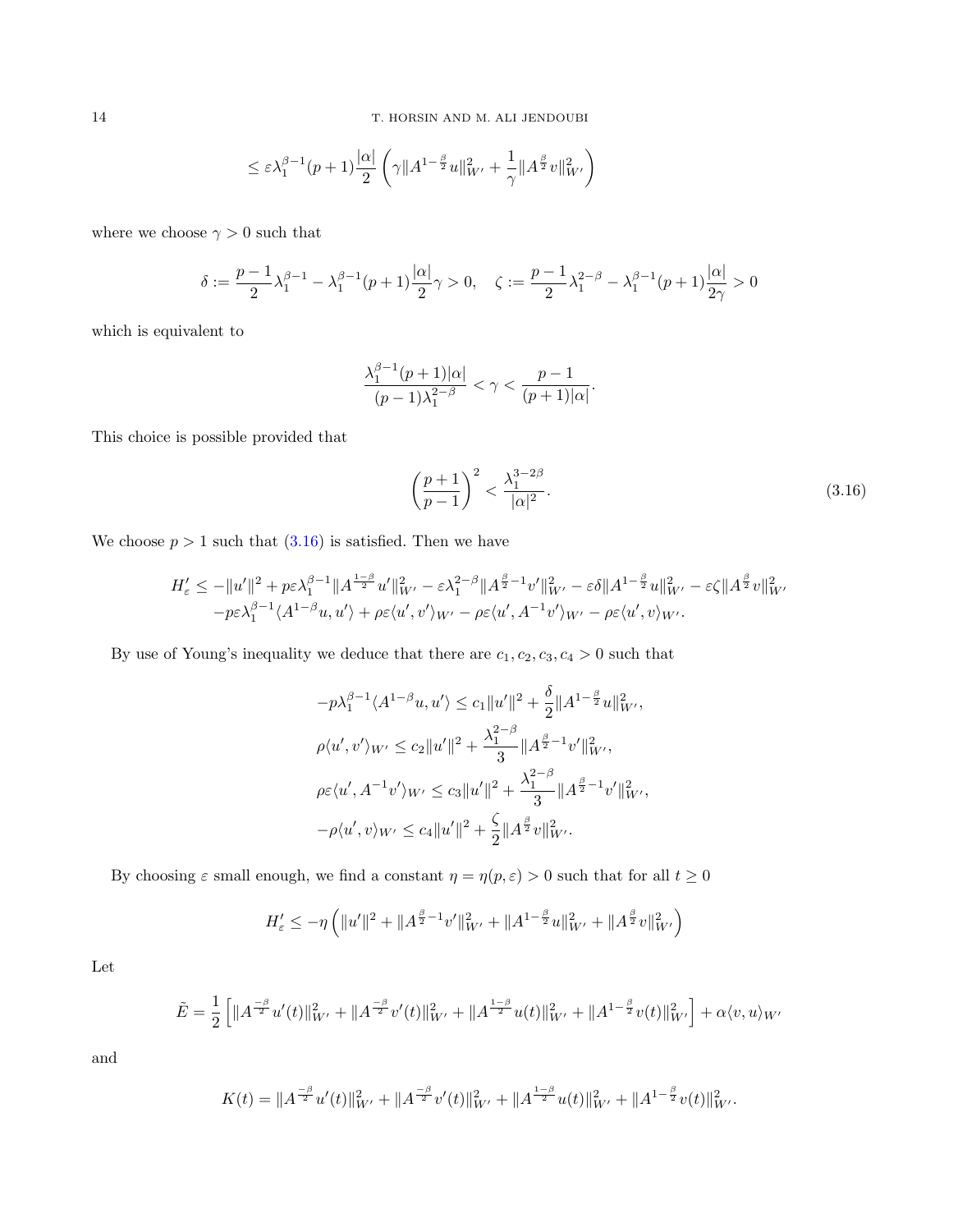$$
\leq \varepsilon \lambda_1^{\beta-1} (p+1) \frac{|\alpha|}{2} \left( \gamma \|A^{1-\frac{\beta}{2}}u\|_{W'}^2 + \frac{1}{\gamma} \|A^{\frac{\beta}{2}}v\|_{W'}^2 \right)
$$

where we choose  $\gamma > 0$  such that

$$
\delta := \frac{p-1}{2}\lambda_1^{\beta-1} - \lambda_1^{\beta-1}(p+1)\frac{|\alpha|}{2}\gamma > 0, \quad \zeta := \frac{p-1}{2}\lambda_1^{2-\beta} - \lambda_1^{\beta-1}(p+1)\frac{|\alpha|}{2\gamma} > 0
$$

which is equivalent to

$$
\frac{\lambda_1^{\beta-1}(p+1)|\alpha|}{(p-1)\lambda_1^{2-\beta}} < \gamma < \frac{p-1}{(p+1)|\alpha|}.
$$

This choice is possible provided that

<span id="page-13-0"></span>
$$
\left(\frac{p+1}{p-1}\right)^2 < \frac{\lambda_1^{3-2\beta}}{|\alpha|^2}.\tag{3.16}
$$

We choose  $p > 1$  such that  $(3.16)$  is satisfied. Then we have

$$
H'_{\varepsilon} \leq -\|u'\|^2 + p\varepsilon \lambda_1^{\beta-1} \|A^{\frac{1-\beta}{2}} u'\|^2_{W'} - \varepsilon \lambda_1^{2-\beta} \|A^{\frac{\beta}{2}-1} v'\|^2_{W'} - \varepsilon \delta \|A^{1-\frac{\beta}{2}} u\|^2_{W'} - \varepsilon \zeta \|A^{\frac{\beta}{2}} v\|^2_{W'} -p\varepsilon \lambda_1^{\beta-1} \langle A^{1-\beta} u, u' \rangle + \rho \varepsilon \langle u', v' \rangle_{W'} - \rho \varepsilon \langle u', A^{-1} v' \rangle_{W'} - \rho \varepsilon \langle u', v \rangle_{W'}.
$$

By use of Young's inequality we deduce that there are  $c_1, c_2, c_3, c_4 > 0$  such that

$$
-p\lambda_1^{\beta-1}\langle A^{1-\beta}u, u'\rangle \le c_1 \|u'\|^2 + \frac{\delta}{2} \|A^{1-\frac{\beta}{2}}u\|_{W'}^2,
$$
  

$$
\rho\langle u', v'\rangle_{W'} \le c_2 \|u'\|^2 + \frac{\lambda_1^{2-\beta}}{3} \|A^{\frac{\beta}{2}-1}v'\|_{W'}^2,
$$
  

$$
\rho\varepsilon\langle u', A^{-1}v'\rangle_{W'} \le c_3 \|u'\|^2 + \frac{\lambda_1^{2-\beta}}{3} \|A^{\frac{\beta}{2}-1}v'\|_{W'}^2,
$$
  

$$
-\rho\langle u', v\rangle_{W'} \le c_4 \|u'\|^2 + \frac{\zeta}{2} \|A^{\frac{\beta}{2}}v\|_{W'}^2.
$$

By choosing  $\varepsilon$  small enough, we find a constant  $\eta = \eta(p, \varepsilon) > 0$  such that for all  $t \ge 0$ 

$$
H'_\varepsilon \leq - \eta \left( \| u' \|^2 + \| A^{\frac{\beta}{2}-1} v' \|^2_{W'} + \| A^{1-\frac{\beta}{2}} u \|_{W'}^2 + \| A^{\frac{\beta}{2}} v \|_{W'}^2 \right)
$$

Let

$$
\tilde{E} = \frac{1}{2} \left[ \|A^{-\beta} u'(t)\|_{W'}^2 + \|A^{-\beta} v'(t)\|_{W'}^2 + \|A^{\frac{1-\beta}{2}} u(t)\|_{W'}^2 + \|A^{1-\frac{\beta}{2}} v(t)\|_{W'}^2 \right] + \alpha \langle v, u \rangle_{W'}
$$

and

$$
K(t) = \|A^{\frac{-\beta}{2}}u'(t)\|_{W'}^2 + \|A^{\frac{-\beta}{2}}v'(t)\|_{W'}^2 + \|A^{\frac{1-\beta}{2}}u(t)\|_{W'}^2 + \|A^{1-\frac{\beta}{2}}v(t)\|_{W'}^2.
$$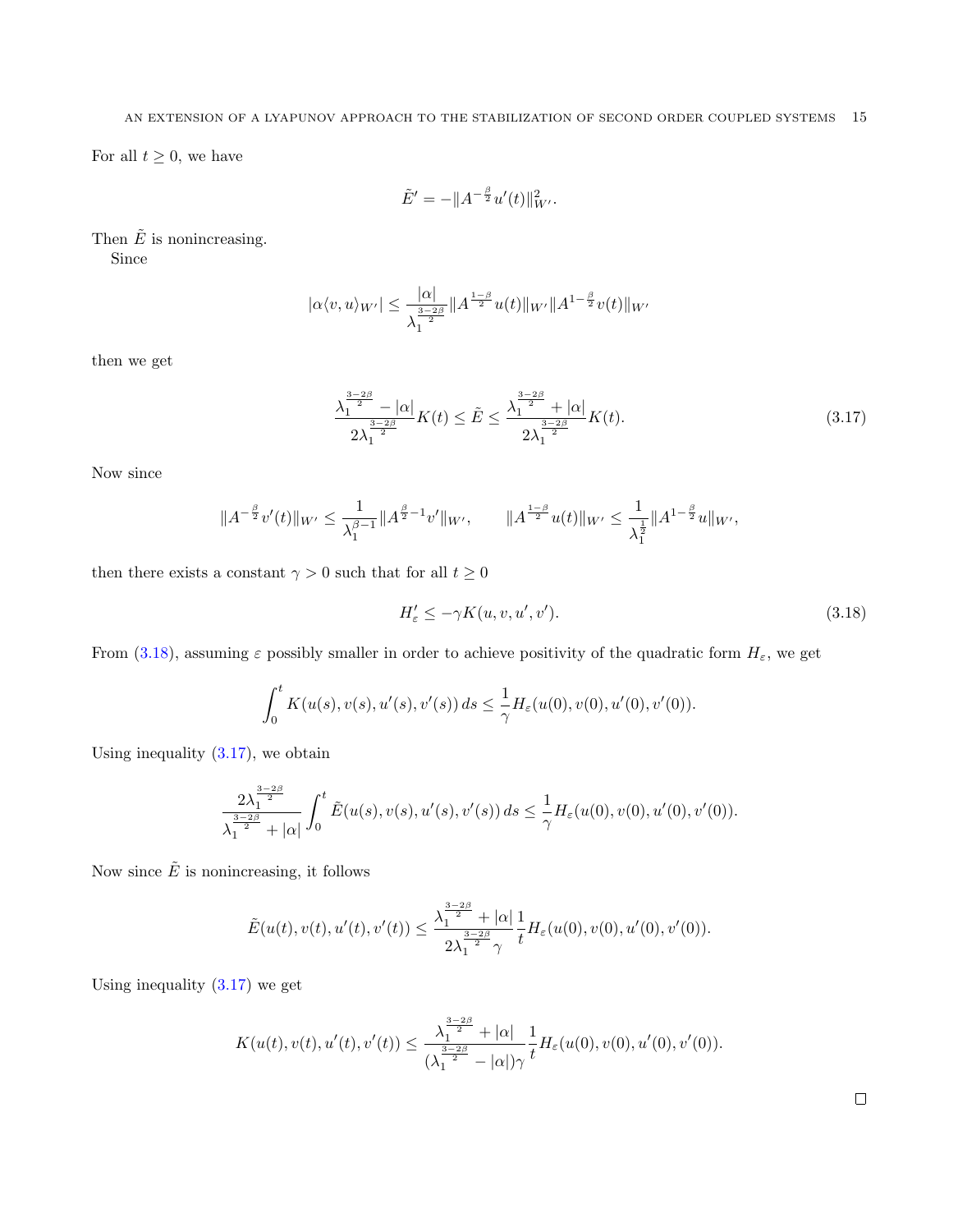For all  $t \geq 0$ , we have

$$
\tilde{E}' = -\|A^{-\frac{\beta}{2}}u'(t)\|_{W'}^2.
$$

Then  $\tilde{E}$  is nonincreasing.

Since

$$
|\alpha \langle v, u \rangle_{W'}| \leq \frac{|\alpha|}{\lambda_1^{\frac{3-2\beta}{2}}} \|A^{\frac{1-\beta}{2}}u(t)\|_{W'} \|A^{1-\frac{\beta}{2}}v(t)\|_{W'}
$$

then we get

<span id="page-14-1"></span>
$$
\frac{\lambda_1^{\frac{3-2\beta}{2}} - |\alpha|}{2\lambda_1^{\frac{3-2\beta}{2}}} K(t) \le \tilde{E} \le \frac{\lambda_1^{\frac{3-2\beta}{2}} + |\alpha|}{2\lambda_1^{\frac{3-2\beta}{2}}} K(t). \tag{3.17}
$$

Now since

$$
||A^{-\frac{\beta}{2}}v'(t)||_{W'} \leq \frac{1}{\lambda_1^{\beta-1}}||A^{\frac{\beta}{2}-1}v'||_{W'}, \qquad ||A^{\frac{1-\beta}{2}}u(t)||_{W'} \leq \frac{1}{\lambda_1^{\frac{1}{2}}}||A^{1-\frac{\beta}{2}}u||_{W'},
$$

then there exists a constant  $\gamma>0$  such that for all  $t\geq 0$ 

<span id="page-14-0"></span>
$$
H'_{\varepsilon} \le -\gamma K(u, v, u', v'). \tag{3.18}
$$

From [\(3.18\)](#page-14-0), assuming  $\varepsilon$  possibly smaller in order to achieve positivity of the quadratic form  $H_{\varepsilon}$ , we get

$$
\int_0^t K(u(s), v(s), u'(s), v'(s)) ds \leq \frac{1}{\gamma} H_{\varepsilon}(u(0), v(0), u'(0), v'(0)).
$$

Using inequality  $(3.17)$ , we obtain

$$
\frac{2\lambda_1^{\frac{3-2\beta}{2}}}{\lambda_1^{\frac{3-2\beta}{2}}+|\alpha|}\int_0^t \tilde{E}(u(s),v(s),u'(s),v'(s))\,ds\leq \frac{1}{\gamma}H_\varepsilon(u(0),v(0),u'(0),v'(0)).
$$

Now since  $\tilde{E}$  is nonincreasing, it follows

$$
\tilde{E}(u(t),v(t),u'(t),v'(t)) \leq \frac{\lambda_1^{\frac{3-2\beta}{2}} + |\alpha|}{2\lambda_1^{\frac{3-2\beta}{2}}\gamma}\frac{1}{t}H_{\varepsilon}(u(0),v(0),u'(0),v'(0)).
$$

Using inequality  $(3.17)$  we get

$$
K(u(t), v(t), u'(t), v'(t)) \le \frac{\lambda_1^{\frac{3-2\beta}{2}} + |\alpha|}{(\lambda_1^{\frac{3-2\beta}{2}} - |\alpha|)\gamma} \frac{1}{t} H_{\varepsilon}(u(0), v(0), u'(0), v'(0)).
$$